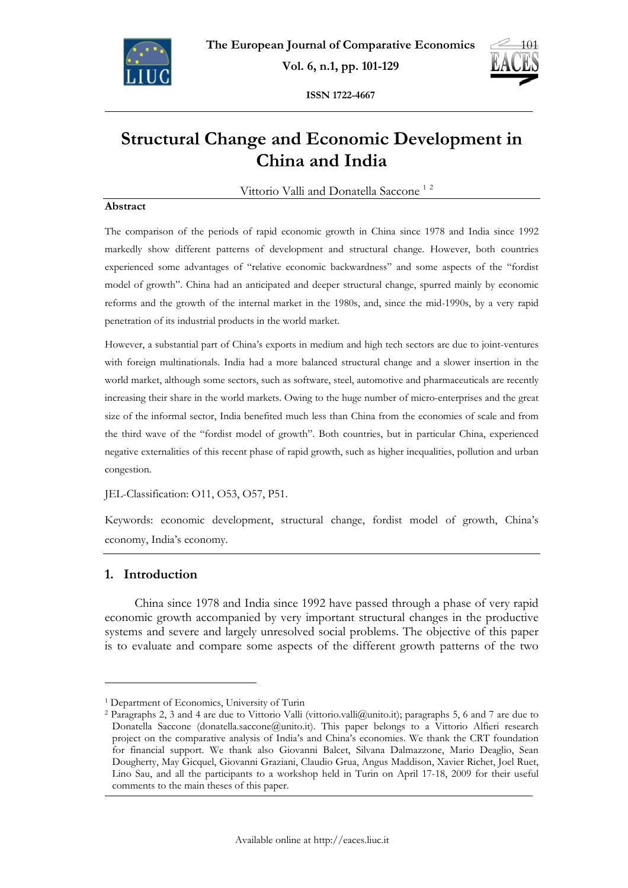



**ISSN 1722-4667** 

# **Structural Change and Economic Development in China and India**

Vittorio Valli and Donatella Saccone<sup>12</sup>

### **Abstract**

The comparison of the periods of rapid economic growth in China since 1978 and India since 1992 markedly show different patterns of development and structural change. However, both countries experienced some advantages of "relative economic backwardness" and some aspects of the "fordist model of growth". China had an anticipated and deeper structural change, spurred mainly by economic reforms and the growth of the internal market in the 1980s, and, since the mid-1990s, by a very rapid penetration of its industrial products in the world market.

However, a substantial part of China's exports in medium and high tech sectors are due to joint-ventures with foreign multinationals. India had a more balanced structural change and a slower insertion in the world market, although some sectors, such as software, steel, automotive and pharmaceuticals are recently increasing their share in the world markets. Owing to the huge number of micro-enterprises and the great size of the informal sector, India benefited much less than China from the economies of scale and from the third wave of the "fordist model of growth". Both countries, but in particular China, experienced negative externalities of this recent phase of rapid growth, such as higher inequalities, pollution and urban congestion.

JEL-Classification: O11, O53, O57, P51.

Keywords: economic development, structural change, fordist model of growth, China's economy, India's economy.

## **1. Introduction**

 $\overline{a}$ 

China since 1978 and India since 1992 have passed through a phase of very rapid economic growth accompanied by very important structural changes in the productive systems and severe and largely unresolved social problems. The objective of this paper is to evaluate and compare some aspects of the different growth patterns of the two

<sup>&</sup>lt;sup>1</sup> Department of Economics, University of Turin<br><sup>2</sup> Paragraphs 2, 3 and 4 are due to Vittorio Valli (vittorio.valli@unito.it); paragraphs 5, 6 and 7 are due to Donatella Saccone (donatella.saccone@unito.it). This paper belongs to a Vittorio Alfieri research project on the comparative analysis of India's and China's economies. We thank the CRT foundation for financial support. We thank also Giovanni Balcet, Silvana Dalmazzone, Mario Deaglio, Sean Dougherty, May Gicquel, Giovanni Graziani, Claudio Grua, Angus Maddison, Xavier Richet, Joel Ruet, Lino Sau, and all the participants to a workshop held in Turin on April 17-18, 2009 for their useful comments to the main theses of this paper.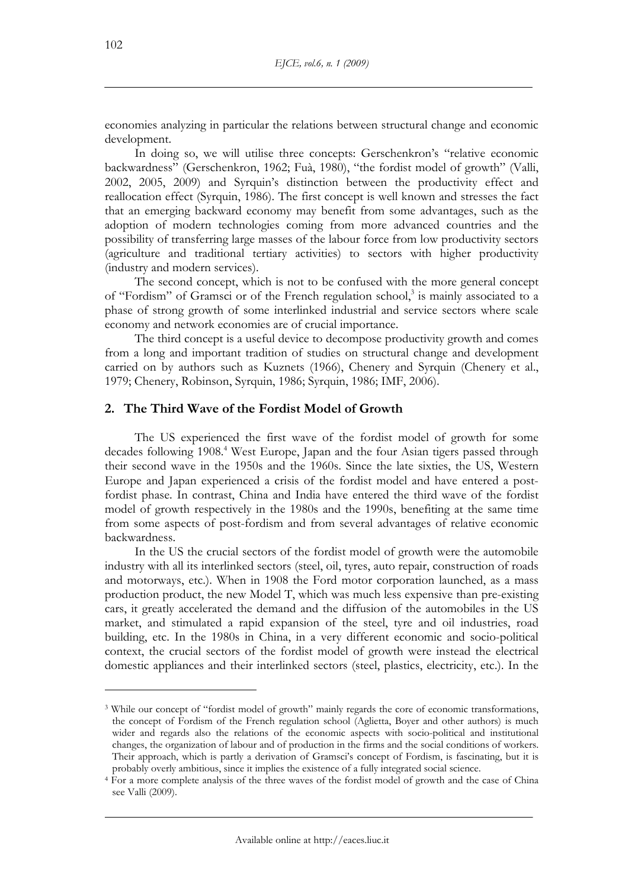economies analyzing in particular the relations between structural change and economic development.

In doing so, we will utilise three concepts: Gerschenkron's "relative economic backwardness" (Gerschenkron, 1962; Fuà, 1980), "the fordist model of growth" (Valli, 2002, 2005, 2009) and Syrquin's distinction between the productivity effect and reallocation effect (Syrquin, 1986). The first concept is well known and stresses the fact that an emerging backward economy may benefit from some advantages, such as the adoption of modern technologies coming from more advanced countries and the possibility of transferring large masses of the labour force from low productivity sectors (agriculture and traditional tertiary activities) to sectors with higher productivity (industry and modern services).

The second concept, which is not to be confused with the more general concept of "Fordism" of Gramsci or of the French regulation school,<sup>3</sup> is mainly associated to a phase of strong growth of some interlinked industrial and service sectors where scale economy and network economies are of crucial importance.

The third concept is a useful device to decompose productivity growth and comes from a long and important tradition of studies on structural change and development carried on by authors such as Kuznets (1966), Chenery and Syrquin (Chenery et al., 1979; Chenery, Robinson, Syrquin, 1986; Syrquin, 1986; IMF, 2006).

## **2. The Third Wave of the Fordist Model of Growth**

The US experienced the first wave of the fordist model of growth for some decades following 1908.<sup>4</sup> West Europe, Japan and the four Asian tigers passed through their second wave in the 1950s and the 1960s. Since the late sixties, the US, Western Europe and Japan experienced a crisis of the fordist model and have entered a postfordist phase. In contrast, China and India have entered the third wave of the fordist model of growth respectively in the 1980s and the 1990s, benefiting at the same time from some aspects of post-fordism and from several advantages of relative economic backwardness.

In the US the crucial sectors of the fordist model of growth were the automobile industry with all its interlinked sectors (steel, oil, tyres, auto repair, construction of roads and motorways, etc.). When in 1908 the Ford motor corporation launched, as a mass production product, the new Model T, which was much less expensive than pre-existing cars, it greatly accelerated the demand and the diffusion of the automobiles in the US market, and stimulated a rapid expansion of the steel, tyre and oil industries, road building, etc. In the 1980s in China, in a very different economic and socio-political context, the crucial sectors of the fordist model of growth were instead the electrical domestic appliances and their interlinked sectors (steel, plastics, electricity, etc.). In the

<sup>&</sup>lt;sup>3</sup> While our concept of "fordist model of growth" mainly regards the core of economic transformations, the concept of Fordism of the French regulation school (Aglietta, Boyer and other authors) is much wider and regards also the relations of the economic aspects with socio-political and institutional changes, the organization of labour and of production in the firms and the social conditions of workers. Their approach, which is partly a derivation of Gramsci's concept of Fordism, is fascinating, but it is

probably overly ambitious, since it implies the existence of a fully integrated social science.<br>4 For a more complete analysis of the three waves of the fordist model of growth and the case of China see Valli (2009).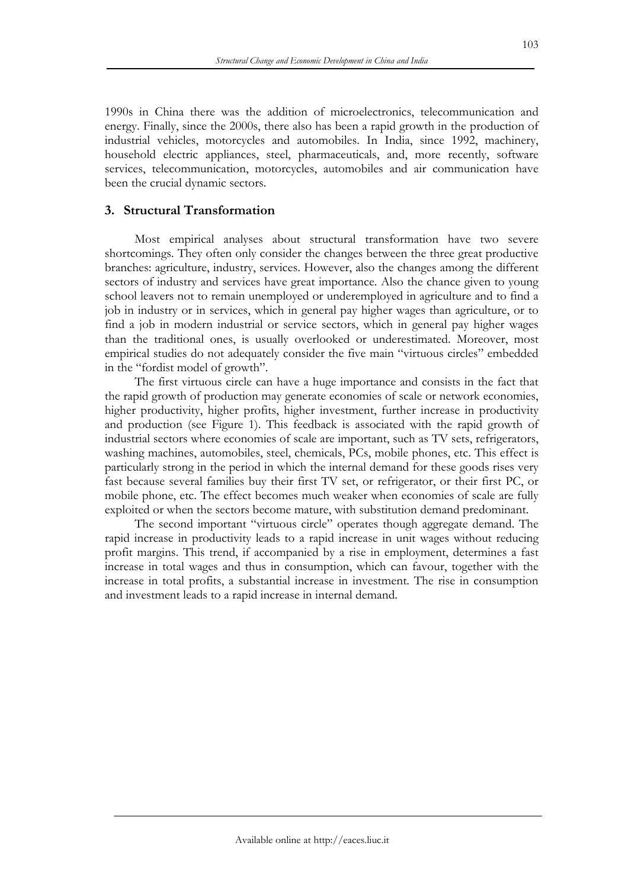1990s in China there was the addition of microelectronics, telecommunication and energy. Finally, since the 2000s, there also has been a rapid growth in the production of industrial vehicles, motorcycles and automobiles. In India, since 1992, machinery, household electric appliances, steel, pharmaceuticals, and, more recently, software services, telecommunication, motorcycles, automobiles and air communication have been the crucial dynamic sectors.

## **3. Structural Transformation**

Most empirical analyses about structural transformation have two severe shortcomings. They often only consider the changes between the three great productive branches: agriculture, industry, services. However, also the changes among the different sectors of industry and services have great importance. Also the chance given to young school leavers not to remain unemployed or underemployed in agriculture and to find a job in industry or in services, which in general pay higher wages than agriculture, or to find a job in modern industrial or service sectors, which in general pay higher wages than the traditional ones, is usually overlooked or underestimated. Moreover, most empirical studies do not adequately consider the five main "virtuous circles" embedded in the "fordist model of growth".

The first virtuous circle can have a huge importance and consists in the fact that the rapid growth of production may generate economies of scale or network economies, higher productivity, higher profits, higher investment, further increase in productivity and production (see Figure 1). This feedback is associated with the rapid growth of industrial sectors where economies of scale are important, such as TV sets, refrigerators, washing machines, automobiles, steel, chemicals, PCs, mobile phones, etc. This effect is particularly strong in the period in which the internal demand for these goods rises very fast because several families buy their first TV set, or refrigerator, or their first PC, or mobile phone, etc. The effect becomes much weaker when economies of scale are fully exploited or when the sectors become mature, with substitution demand predominant.

The second important "virtuous circle" operates though aggregate demand. The rapid increase in productivity leads to a rapid increase in unit wages without reducing profit margins. This trend, if accompanied by a rise in employment, determines a fast increase in total wages and thus in consumption, which can favour, together with the increase in total profits, a substantial increase in investment. The rise in consumption and investment leads to a rapid increase in internal demand.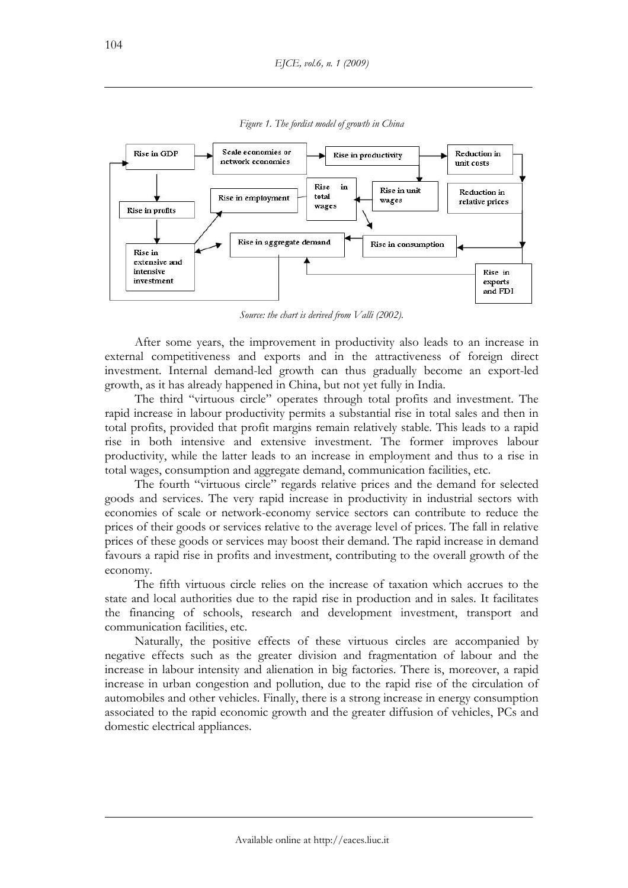

*Figure 1. The fordist model of growth in China* 

*Source: the chart is derived from Valli (2002).* 

After some years, the improvement in productivity also leads to an increase in external competitiveness and exports and in the attractiveness of foreign direct investment. Internal demand-led growth can thus gradually become an export-led growth, as it has already happened in China, but not yet fully in India.

The third "virtuous circle" operates through total profits and investment. The rapid increase in labour productivity permits a substantial rise in total sales and then in total profits, provided that profit margins remain relatively stable. This leads to a rapid rise in both intensive and extensive investment. The former improves labour productivity, while the latter leads to an increase in employment and thus to a rise in total wages, consumption and aggregate demand, communication facilities, etc.

The fourth "virtuous circle" regards relative prices and the demand for selected goods and services. The very rapid increase in productivity in industrial sectors with economies of scale or network-economy service sectors can contribute to reduce the prices of their goods or services relative to the average level of prices. The fall in relative prices of these goods or services may boost their demand. The rapid increase in demand favours a rapid rise in profits and investment, contributing to the overall growth of the economy.

The fifth virtuous circle relies on the increase of taxation which accrues to the state and local authorities due to the rapid rise in production and in sales. It facilitates the financing of schools, research and development investment, transport and communication facilities, etc.

Naturally, the positive effects of these virtuous circles are accompanied by negative effects such as the greater division and fragmentation of labour and the increase in labour intensity and alienation in big factories. There is, moreover, a rapid increase in urban congestion and pollution, due to the rapid rise of the circulation of automobiles and other vehicles. Finally, there is a strong increase in energy consumption associated to the rapid economic growth and the greater diffusion of vehicles, PCs and domestic electrical appliances.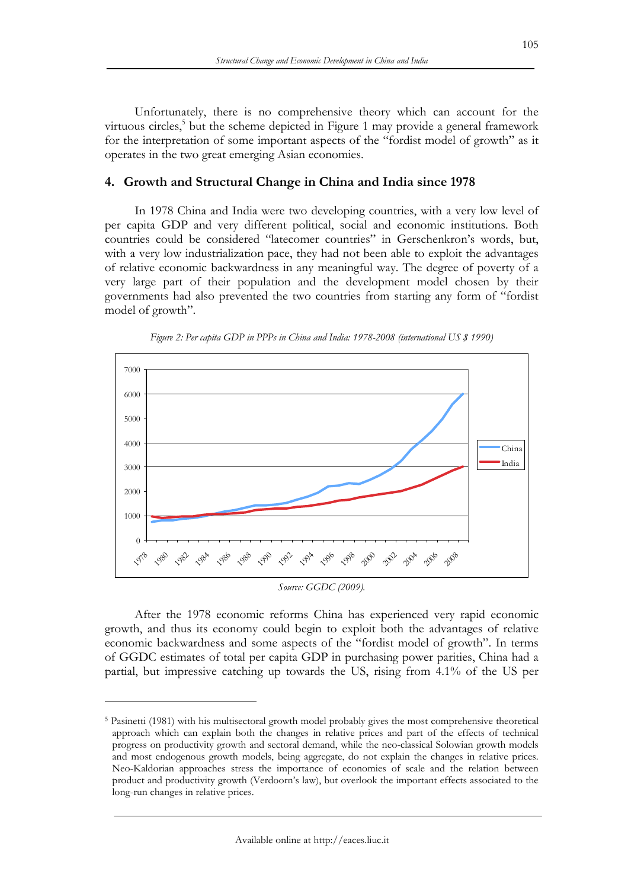Unfortunately, there is no comprehensive theory which can account for the virtuous circles,<sup>5</sup> but the scheme depicted in Figure 1 may provide a general framework for the interpretation of some important aspects of the "fordist model of growth" as it operates in the two great emerging Asian economies.

## **4. Growth and Structural Change in China and India since 1978**

In 1978 China and India were two developing countries, with a very low level of per capita GDP and very different political, social and economic institutions. Both countries could be considered "latecomer countries" in Gerschenkron's words, but, with a very low industrialization pace, they had not been able to exploit the advantages of relative economic backwardness in any meaningful way. The degree of poverty of a very large part of their population and the development model chosen by their governments had also prevented the two countries from starting any form of "fordist model of growth".



*Figure 2: Per capita GDP in PPPs in China and India: 1978-2008 (international US \$ 1990)* 

*Source: GGDC (2009).* 

After the 1978 economic reforms China has experienced very rapid economic growth, and thus its economy could begin to exploit both the advantages of relative economic backwardness and some aspects of the "fordist model of growth". In terms of GGDC estimates of total per capita GDP in purchasing power parities, China had a partial, but impressive catching up towards the US, rising from 4.1% of the US per

<sup>5</sup> Pasinetti (1981) with his multisectoral growth model probably gives the most comprehensive theoretical approach which can explain both the changes in relative prices and part of the effects of technical progress on productivity growth and sectoral demand, while the neo-classical Solowian growth models and most endogenous growth models, being aggregate, do not explain the changes in relative prices. Neo-Kaldorian approaches stress the importance of economies of scale and the relation between product and productivity growth (Verdoorn's law), but overlook the important effects associated to the long-run changes in relative prices.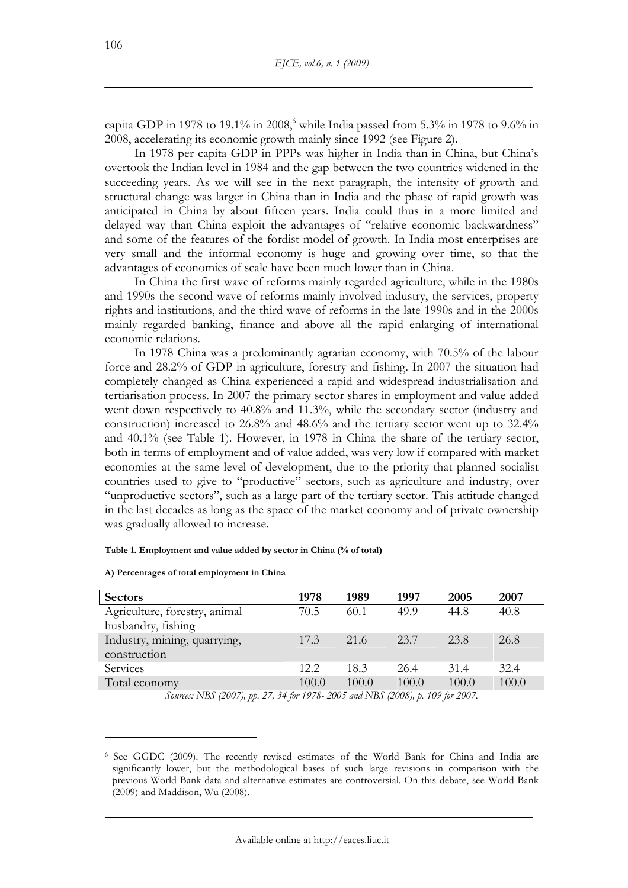capita GDP in 1978 to 19.1% in 2008, while India passed from 5.3% in 1978 to 9.6% in 2008, accelerating its economic growth mainly since 1992 (see Figure 2).

In 1978 per capita GDP in PPPs was higher in India than in China, but China's overtook the Indian level in 1984 and the gap between the two countries widened in the succeeding years. As we will see in the next paragraph, the intensity of growth and structural change was larger in China than in India and the phase of rapid growth was anticipated in China by about fifteen years. India could thus in a more limited and delayed way than China exploit the advantages of "relative economic backwardness" and some of the features of the fordist model of growth. In India most enterprises are very small and the informal economy is huge and growing over time, so that the advantages of economies of scale have been much lower than in China.

In China the first wave of reforms mainly regarded agriculture, while in the 1980s and 1990s the second wave of reforms mainly involved industry, the services, property rights and institutions, and the third wave of reforms in the late 1990s and in the 2000s mainly regarded banking, finance and above all the rapid enlarging of international economic relations.

In 1978 China was a predominantly agrarian economy, with 70.5% of the labour force and 28.2% of GDP in agriculture, forestry and fishing. In 2007 the situation had completely changed as China experienced a rapid and widespread industrialisation and tertiarisation process. In 2007 the primary sector shares in employment and value added went down respectively to 40.8% and 11.3%, while the secondary sector (industry and construction) increased to 26.8% and 48.6% and the tertiary sector went up to 32.4% and 40.1% (see Table 1). However, in 1978 in China the share of the tertiary sector, both in terms of employment and of value added, was very low if compared with market economies at the same level of development, due to the priority that planned socialist countries used to give to "productive" sectors, such as agriculture and industry, over "unproductive sectors", such as a large part of the tertiary sector. This attitude changed in the last decades as long as the space of the market economy and of private ownership was gradually allowed to increase.

#### **Table 1. Employment and value added by sector in China (% of total)**

| <b>Sectors</b>                | 1978  | 1989  | 1997  | 2005  | 2007  |
|-------------------------------|-------|-------|-------|-------|-------|
| Agriculture, forestry, animal | 70.5  | 60.1  | 49.9  | 44.8  | 40.8  |
| husbandry, fishing            |       |       |       |       |       |
| Industry, mining, quarrying,  | 17.3  | 21.6  | 23.7  | 23.8  | 26.8  |
| construction                  |       |       |       |       |       |
| <b>Services</b>               | 12.2  | 18.3  | 26.4  | 31.4  | 32.4  |
| Total economy                 | 100.0 | 100.0 | 100.0 | 100.0 | 100.0 |

**A) Percentages of total employment in China** 

 $\overline{a}$ 

*Sources: NBS (2007), pp. 27, 34 for 1978- 2005 and NBS (2008), p. 109 for 2007.* 

<sup>6</sup> See GGDC (2009). The recently revised estimates of the World Bank for China and India are significantly lower, but the methodological bases of such large revisions in comparison with the previous World Bank data and alternative estimates are controversial. On this debate, see World Bank (2009) and Maddison, Wu (2008).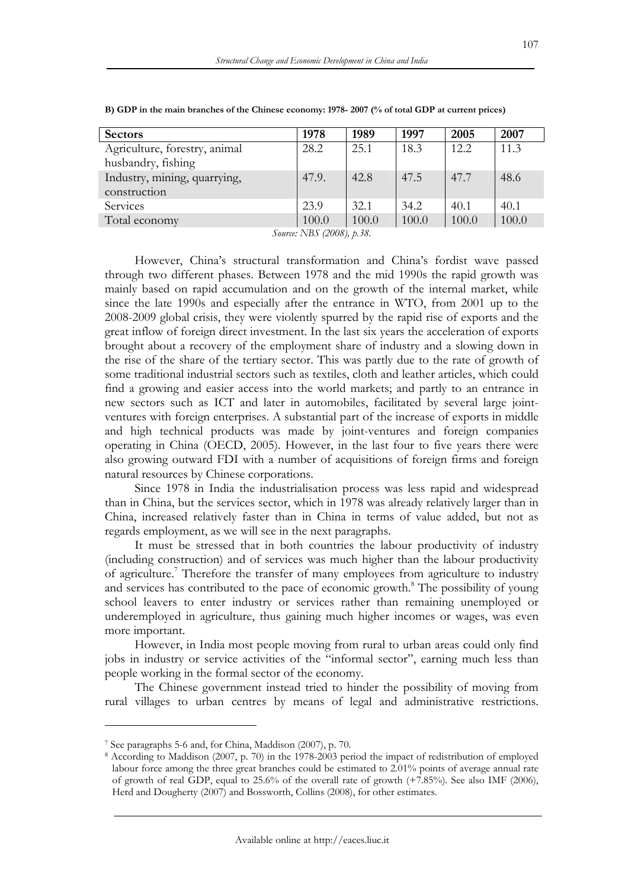| 1978  | 1989  | 1997  | 2005  | 2007  |
|-------|-------|-------|-------|-------|
| 28.2  | 25.1  | 18.3  | 12.2  | 11.3  |
|       |       |       |       |       |
| 47.9. | 42.8  | 47.5  | 47.7  | 48.6  |
|       |       |       |       |       |
| 23.9  | 32.1  | 34.2  | 40.1  | 40.1  |
| 100.0 | 100.0 | 100.0 | 100.0 | 100.0 |
|       |       |       |       |       |

**B) GDP in the main branches of the Chinese economy: 1978- 2007 (% of total GDP at current prices)** 

*Source: NBS (2008), p.38.* 

However, China's structural transformation and China's fordist wave passed through two different phases. Between 1978 and the mid 1990s the rapid growth was mainly based on rapid accumulation and on the growth of the internal market, while since the late 1990s and especially after the entrance in WTO, from 2001 up to the 2008-2009 global crisis, they were violently spurred by the rapid rise of exports and the great inflow of foreign direct investment. In the last six years the acceleration of exports brought about a recovery of the employment share of industry and a slowing down in the rise of the share of the tertiary sector. This was partly due to the rate of growth of some traditional industrial sectors such as textiles, cloth and leather articles, which could find a growing and easier access into the world markets; and partly to an entrance in new sectors such as ICT and later in automobiles, facilitated by several large jointventures with foreign enterprises. A substantial part of the increase of exports in middle and high technical products was made by joint-ventures and foreign companies operating in China (OECD, 2005). However, in the last four to five years there were also growing outward FDI with a number of acquisitions of foreign firms and foreign natural resources by Chinese corporations.

Since 1978 in India the industrialisation process was less rapid and widespread than in China, but the services sector, which in 1978 was already relatively larger than in China, increased relatively faster than in China in terms of value added, but not as regards employment, as we will see in the next paragraphs.

It must be stressed that in both countries the labour productivity of industry (including construction) and of services was much higher than the labour productivity of agriculture.<sup>7</sup> Therefore the transfer of many employees from agriculture to industry and services has contributed to the pace of economic growth.<sup>8</sup> The possibility of young school leavers to enter industry or services rather than remaining unemployed or underemployed in agriculture, thus gaining much higher incomes or wages, was even more important.

However, in India most people moving from rural to urban areas could only find jobs in industry or service activities of the "informal sector", earning much less than people working in the formal sector of the economy.

The Chinese government instead tried to hinder the possibility of moving from rural villages to urban centres by means of legal and administrative restrictions.

<sup>&</sup>lt;sup>7</sup> See paragraphs 5-6 and, for China, Maddison (2007), p. 70.<br><sup>8</sup> According to Maddison (2007, p. 70) in the 1978-2003 period the impact of redistribution of employed labour force among the three great branches could be estimated to 2.01% points of average annual rate of growth of real GDP, equal to 25.6% of the overall rate of growth (+7.85%). See also IMF (2006), Herd and Dougherty (2007) and Bossworth, Collins (2008), for other estimates.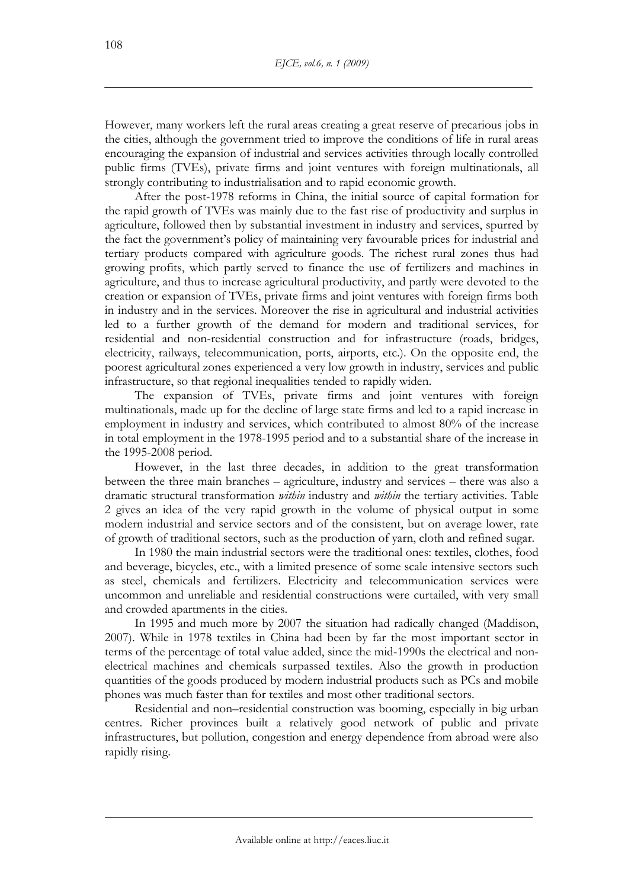However, many workers left the rural areas creating a great reserve of precarious jobs in the cities, although the government tried to improve the conditions of life in rural areas encouraging the expansion of industrial and services activities through locally controlled public firms (TVEs), private firms and joint ventures with foreign multinationals, all strongly contributing to industrialisation and to rapid economic growth.

After the post-1978 reforms in China, the initial source of capital formation for the rapid growth of TVEs was mainly due to the fast rise of productivity and surplus in agriculture, followed then by substantial investment in industry and services, spurred by the fact the government's policy of maintaining very favourable prices for industrial and tertiary products compared with agriculture goods. The richest rural zones thus had growing profits, which partly served to finance the use of fertilizers and machines in agriculture, and thus to increase agricultural productivity, and partly were devoted to the creation or expansion of TVEs, private firms and joint ventures with foreign firms both in industry and in the services. Moreover the rise in agricultural and industrial activities led to a further growth of the demand for modern and traditional services, for residential and non-residential construction and for infrastructure (roads, bridges, electricity, railways, telecommunication, ports, airports, etc.). On the opposite end, the poorest agricultural zones experienced a very low growth in industry, services and public infrastructure, so that regional inequalities tended to rapidly widen.

The expansion of TVEs, private firms and joint ventures with foreign multinationals, made up for the decline of large state firms and led to a rapid increase in employment in industry and services, which contributed to almost 80% of the increase in total employment in the 1978-1995 period and to a substantial share of the increase in the 1995-2008 period.

However, in the last three decades, in addition to the great transformation between the three main branches – agriculture, industry and services – there was also a dramatic structural transformation *within* industry and *within* the tertiary activities. Table 2 gives an idea of the very rapid growth in the volume of physical output in some modern industrial and service sectors and of the consistent, but on average lower, rate of growth of traditional sectors, such as the production of yarn, cloth and refined sugar.

In 1980 the main industrial sectors were the traditional ones: textiles, clothes, food and beverage, bicycles, etc., with a limited presence of some scale intensive sectors such as steel, chemicals and fertilizers. Electricity and telecommunication services were uncommon and unreliable and residential constructions were curtailed, with very small and crowded apartments in the cities.

In 1995 and much more by 2007 the situation had radically changed (Maddison, 2007). While in 1978 textiles in China had been by far the most important sector in terms of the percentage of total value added, since the mid-1990s the electrical and nonelectrical machines and chemicals surpassed textiles. Also the growth in production quantities of the goods produced by modern industrial products such as PCs and mobile phones was much faster than for textiles and most other traditional sectors.

Residential and non–residential construction was booming, especially in big urban centres. Richer provinces built a relatively good network of public and private infrastructures, but pollution, congestion and energy dependence from abroad were also rapidly rising.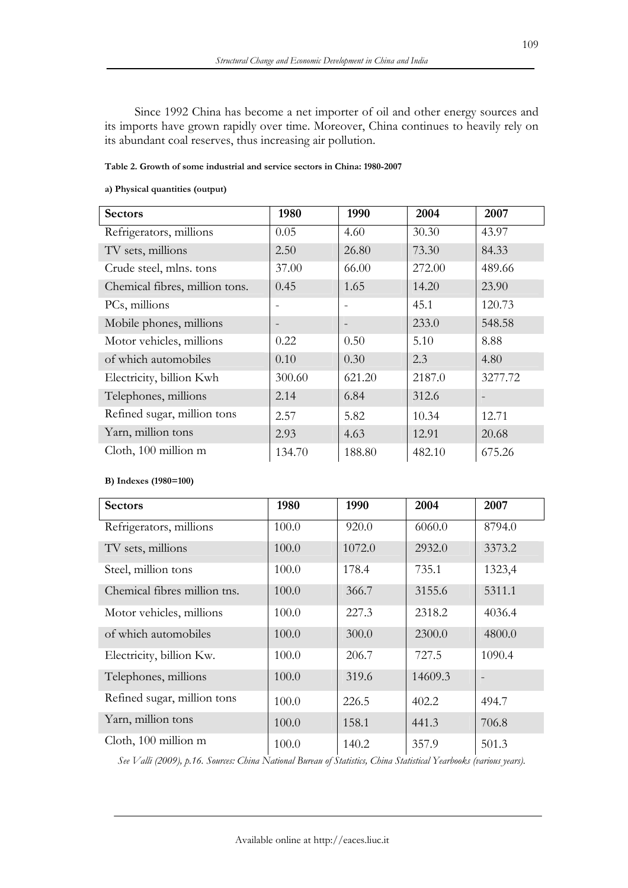Since 1992 China has become a net importer of oil and other energy sources and its imports have grown rapidly over time. Moreover, China continues to heavily rely on its abundant coal reserves, thus increasing air pollution.

#### **Table 2. Growth of some industrial and service sectors in China: 1980-2007**

#### **a) Physical quantities (output)**

| <b>Sectors</b>                 | 1980   | 1990                     | 2004   | 2007    |
|--------------------------------|--------|--------------------------|--------|---------|
| Refrigerators, millions        | 0.05   | 4.60                     | 30.30  | 43.97   |
| TV sets, millions              | 2.50   | 26.80                    | 73.30  | 84.33   |
| Crude steel, mlns. tons        | 37.00  | 66.00                    | 272.00 | 489.66  |
| Chemical fibres, million tons. | 0.45   | 1.65                     | 14.20  | 23.90   |
| PCs, millions                  |        |                          | 45.1   | 120.73  |
| Mobile phones, millions        |        | $\overline{\phantom{a}}$ | 233.0  | 548.58  |
| Motor vehicles, millions       | 0.22   | 0.50                     | 5.10   | 8.88    |
| of which automobiles           | 0.10   | 0.30                     | 2.3    | 4.80    |
| Electricity, billion Kwh       | 300.60 | 621.20                   | 2187.0 | 3277.72 |
| Telephones, millions           | 2.14   | 6.84                     | 312.6  |         |
| Refined sugar, million tons    | 2.57   | 5.82                     | 10.34  | 12.71   |
| Yarn, million tons             | 2.93   | 4.63                     | 12.91  | 20.68   |
| Cloth, 100 million m           | 134.70 | 188.80                   | 482.10 | 675.26  |

### **B) Indexes (1980=100)**

| <b>Sectors</b>               | 1980  | 1990   | 2004    | 2007   |
|------------------------------|-------|--------|---------|--------|
| Refrigerators, millions      | 100.0 | 920.0  | 6060.0  | 8794.0 |
| TV sets, millions            | 100.0 | 1072.0 | 2932.0  | 3373.2 |
| Steel, million tons          | 100.0 | 178.4  | 735.1   | 1323,4 |
| Chemical fibres million tns. | 100.0 | 366.7  | 3155.6  | 5311.1 |
| Motor vehicles, millions     | 100.0 | 227.3  | 2318.2  | 4036.4 |
| of which automobiles         | 100.0 | 300.0  | 2300.0  | 4800.0 |
| Electricity, billion Kw.     | 100.0 | 206.7  | 727.5   | 1090.4 |
| Telephones, millions         | 100.0 | 319.6  | 14609.3 |        |
| Refined sugar, million tons  | 100.0 | 226.5  | 402.2   | 494.7  |
| Yarn, million tons           | 100.0 | 158.1  | 441.3   | 706.8  |
| Cloth, 100 million m         | 100.0 | 140.2  | 357.9   | 501.3  |

*See Valli (2009), p.16. Sources: China National Bureau of Statistics, China Statistical Yearbooks (various years).*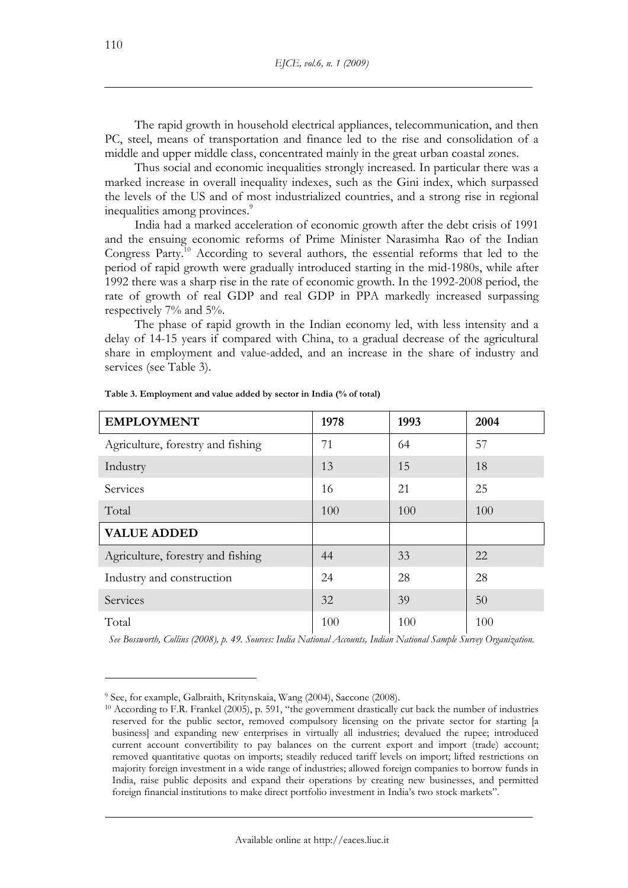The rapid growth in household electrical appliances, telecommunication, and then PC, steel, means of transportation and finance led to the rise and consolidation of a middle and upper middle class, concentrated mainly in the great urban coastal zones.

Thus social and economic inequalities strongly increased. In particular there was a marked increase in overall inequality indexes, such as the Gini index, which surpassed the levels of the US and of most industrialized countries, and a strong rise in regional inequalities among provinces.<sup>9</sup>

India had a marked acceleration of economic growth after the debt crisis of 1991 and the ensuing economic reforms of Prime Minister Narasimha Rao of the Indian Congress Party.10 According to several authors, the essential reforms that led to the period of rapid growth were gradually introduced starting in the mid-1980s, while after 1992 there was a sharp rise in the rate of economic growth. In the 1992-2008 period, the rate of growth of real GDP and real GDP in PPA markedly increased surpassing respectively 7% and 5%.

The phase of rapid growth in the Indian economy led, with less intensity and a delay of 14-15 years if compared with China, to a gradual decrease of the agricultural share in employment and value-added, and an increase in the share of industry and services (see Table 3).

| <b>EMPLOYMENT</b>                 | 1978 | 1993 | 2004 |
|-----------------------------------|------|------|------|
| Agriculture, forestry and fishing | 71   | 64   | 57   |
| Industry                          | 13   | 15   | 18   |
| Services                          | 16   | 21   | 25   |
| Total                             | 100  | 100  | 100  |
| <b>VALUE ADDED</b>                |      |      |      |
| Agriculture, forestry and fishing | 44   | 33   | 22   |
| Industry and construction         | 24   | 28   | 28   |
| Services                          | 32   | 39   | 50   |
| Total                             | 100  | 100  | 100  |

**Table 3. Employment and value added by sector in India (% of total)** 

*See Bossworth, Collins (2008), p. 49. Sources: India National Accounts, Indian National Sample Survey Organization.* 

<sup>&</sup>lt;sup>9</sup> See, for example, Galbraith, Kritynskaia, Wang (2004), Saccone (2008).<br><sup>10</sup> According to F.R. Frankel (2005), p. 591, "the government drastically cut back the number of industries reserved for the public sector, removed compulsory licensing on the private sector for starting [a business] and expanding new enterprises in virtually all industries; devalued the rupee; introduced current account convertibility to pay balances on the current export and import (trade) account; removed quantitative quotas on imports; steadily reduced tariff levels on import; lifted restrictions on majority foreign investment in a wide range of industries; allowed foreign companies to borrow funds in India, raise public deposits and expand their operations by creating new businesses, and permitted foreign financial institutions to make direct portfolio investment in India's two stock markets".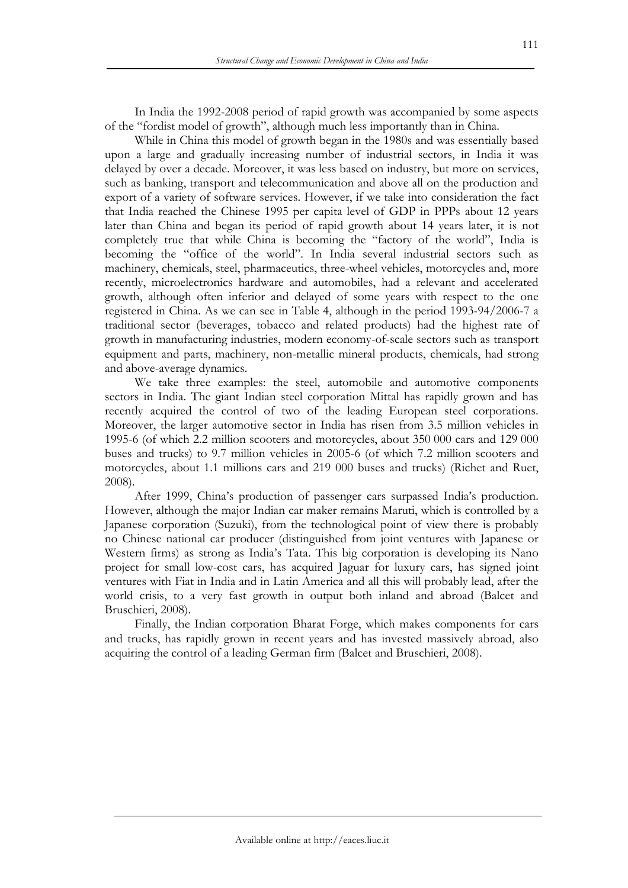In India the 1992-2008 period of rapid growth was accompanied by some aspects of the "fordist model of growth", although much less importantly than in China.

While in China this model of growth began in the 1980s and was essentially based upon a large and gradually increasing number of industrial sectors, in India it was delayed by over a decade. Moreover, it was less based on industry, but more on services, such as banking, transport and telecommunication and above all on the production and export of a variety of software services. However, if we take into consideration the fact that India reached the Chinese 1995 per capita level of GDP in PPPs about 12 years later than China and began its period of rapid growth about 14 years later, it is not completely true that while China is becoming the "factory of the world", India is becoming the "office of the world". In India several industrial sectors such as machinery, chemicals, steel, pharmaceutics, three-wheel vehicles, motorcycles and, more recently, microelectronics hardware and automobiles, had a relevant and accelerated growth, although often inferior and delayed of some years with respect to the one registered in China. As we can see in Table 4, although in the period 1993-94/2006-7 a traditional sector (beverages, tobacco and related products) had the highest rate of growth in manufacturing industries, modern economy-of-scale sectors such as transport equipment and parts, machinery, non-metallic mineral products, chemicals, had strong and above-average dynamics.

We take three examples: the steel, automobile and automotive components sectors in India. The giant Indian steel corporation Mittal has rapidly grown and has recently acquired the control of two of the leading European steel corporations. Moreover, the larger automotive sector in India has risen from 3.5 million vehicles in 1995-6 (of which 2.2 million scooters and motorcycles, about 350 000 cars and 129 000 buses and trucks) to 9.7 million vehicles in 2005-6 (of which 7.2 million scooters and motorcycles, about 1.1 millions cars and 219 000 buses and trucks) (Richet and Ruet, 2008).

After 1999, China's production of passenger cars surpassed India's production. However, although the major Indian car maker remains Maruti, which is controlled by a Japanese corporation (Suzuki), from the technological point of view there is probably no Chinese national car producer (distinguished from joint ventures with Japanese or Western firms) as strong as India's Tata. This big corporation is developing its Nano project for small low-cost cars, has acquired Jaguar for luxury cars, has signed joint ventures with Fiat in India and in Latin America and all this will probably lead, after the world crisis, to a very fast growth in output both inland and abroad (Balcet and Bruschieri, 2008).

Finally, the Indian corporation Bharat Forge, which makes components for cars and trucks, has rapidly grown in recent years and has invested massively abroad, also acquiring the control of a leading German firm (Balcet and Bruschieri, 2008).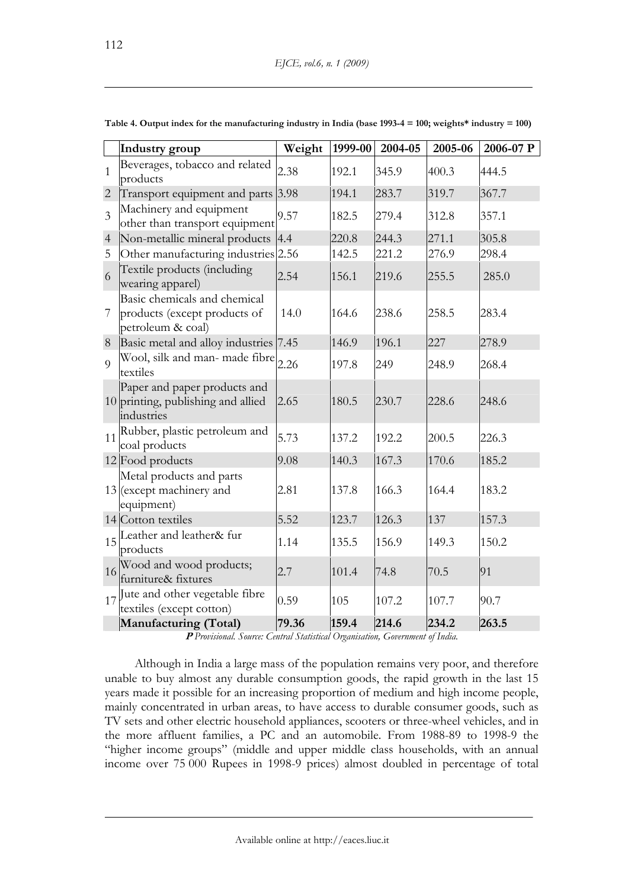|                | Industry group                                                                     | Weight | 1999-00 | 2004-05 | 2005-06 | 2006-07 P |
|----------------|------------------------------------------------------------------------------------|--------|---------|---------|---------|-----------|
| $\mathbf{1}$   | Beverages, tobacco and related<br>products                                         | 2.38   | 192.1   | 345.9   | 400.3   | 444.5     |
| $\overline{2}$ | Transport equipment and parts 3.98                                                 |        | 194.1   | 283.7   | 319.7   | 367.7     |
| $\overline{3}$ | Machinery and equipment<br>other than transport equipment                          | 9.57   | 182.5   | 279.4   | 312.8   | 357.1     |
| $\overline{4}$ | Non-metallic mineral products                                                      | 4.4    | 220.8   | 244.3   | 271.1   | 305.8     |
| 5              | Other manufacturing industries 2.56                                                |        | 142.5   | 221.2   | 276.9   | 298.4     |
| 6              | Textile products (including<br>wearing apparel)                                    | 2.54   | 156.1   | 219.6   | 255.5   | 285.0     |
| $\overline{7}$ | Basic chemicals and chemical<br>products (except products of<br>petroleum & coal)  | 14.0   | 164.6   | 238.6   | 258.5   | 283.4     |
| $8\,$          | Basic metal and alloy industries                                                   | 7.45   | 146.9   | 196.1   | 227     | 278.9     |
| 9              | Wool, silk and man- made fibre<br>textiles                                         | 2.26   | 197.8   | 249     | 248.9   | 268.4     |
|                | Paper and paper products and<br>$10$ printing, publishing and allied<br>industries | 2.65   | 180.5   | 230.7   | 228.6   | 248.6     |
| 11             | Rubber, plastic petroleum and<br>coal products                                     | 5.73   | 137.2   | 192.2   | 200.5   | 226.3     |
|                | $12$ Food products                                                                 | 9.08   | 140.3   | 167.3   | 170.6   | 185.2     |
|                | Metal products and parts<br>$13$ (except machinery and<br>equipment)               | 2.81   | 137.8   | 166.3   | 164.4   | 183.2     |
|                | 14 Cotton textiles                                                                 | 5.52   | 123.7   | 126.3   | 137     | 157.3     |
|                | 15 Leather and leather& fur<br>products                                            | 1.14   | 135.5   | 156.9   | 149.3   | 150.2     |
|                | 16 Wood and wood products;<br>furniture& fixtures                                  | 2.7    | 101.4   | 74.8    | 70.5    | 91        |
| 17             | Jute and other vegetable fibre<br>textiles (except cotton)                         | 0.59   | 105     | 107.2   | 107.7   | 90.7      |
|                | Manufacturing (Total)                                                              | 79.36  | 159.4   | 214.6   | 234.2   | 263.5     |

**Table 4. Output index for the manufacturing industry in India (base 1993-4 = 100; weights\* industry = 100)** 

**<sup>P</sup>** *Provisional. Source: Central Statistical Organisation, Government of India.* 

Although in India a large mass of the population remains very poor, and therefore unable to buy almost any durable consumption goods, the rapid growth in the last 15 years made it possible for an increasing proportion of medium and high income people, mainly concentrated in urban areas, to have access to durable consumer goods, such as TV sets and other electric household appliances, scooters or three-wheel vehicles, and in the more affluent families, a PC and an automobile. From 1988-89 to 1998-9 the "higher income groups" (middle and upper middle class households, with an annual income over 75 000 Rupees in 1998-9 prices) almost doubled in percentage of total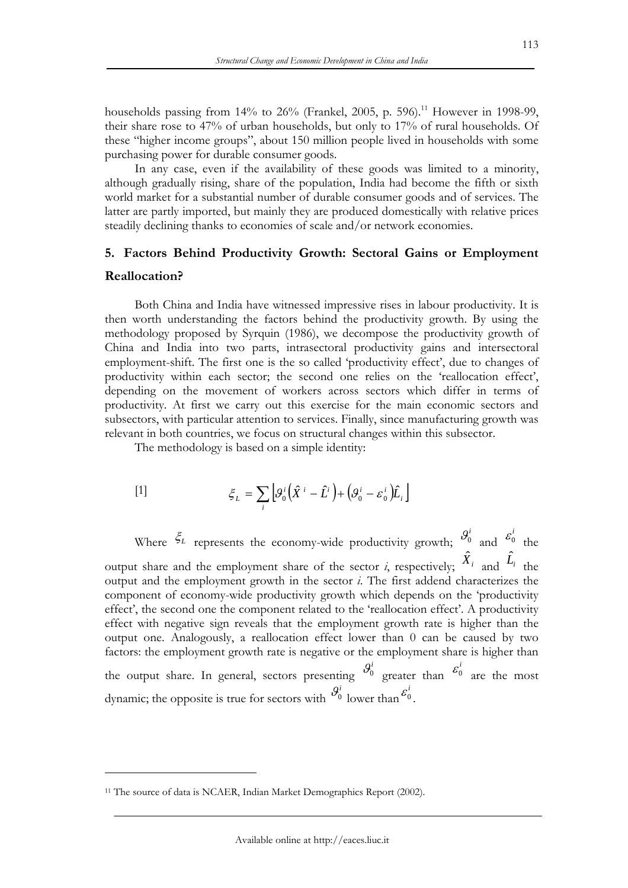households passing from  $14\%$  to  $26\%$  (Frankel, 2005, p. 596).<sup>11</sup> However in 1998-99, their share rose to 47% of urban households, but only to 17% of rural households. Of these "higher income groups", about 150 million people lived in households with some purchasing power for durable consumer goods.

In any case, even if the availability of these goods was limited to a minority, although gradually rising, share of the population, India had become the fifth or sixth world market for a substantial number of durable consumer goods and of services. The latter are partly imported, but mainly they are produced domestically with relative prices steadily declining thanks to economies of scale and/or network economies.

## **5. Factors Behind Productivity Growth: Sectoral Gains or Employment Reallocation?**

Both China and India have witnessed impressive rises in labour productivity. It is then worth understanding the factors behind the productivity growth. By using the methodology proposed by Syrquin (1986), we decompose the productivity growth of China and India into two parts, intrasectoral productivity gains and intersectoral employment-shift. The first one is the so called 'productivity effect', due to changes of productivity within each sector; the second one relies on the 'reallocation effect', depending on the movement of workers across sectors which differ in terms of productivity. At first we carry out this exercise for the main economic sectors and subsectors, with particular attention to services. Finally, since manufacturing growth was relevant in both countries, we focus on structural changes within this subsector.

The methodology is based on a simple identity:

[1] 
$$
\xi_L = \sum_i \left[ \mathcal{G}_0^i \left( \hat{X}^i - \hat{L}^i \right) + \left( \mathcal{G}_0^i - \varepsilon_0^i \right) \hat{L}_i \right]
$$

Where  $\xi_L$  represents the economy-wide productivity growth;  $\theta_0^i$  and  $\varepsilon_0^i$  the output share and the employment share of the sector *i*, respectively;  $\hat{X}_i$  and  $\hat{L}_i$  the output and the employment growth in the sector *i*. The first addend characterizes the component of economy-wide productivity growth which depends on the 'productivity effect', the second one the component related to the 'reallocation effect'. A productivity effect with negative sign reveals that the employment growth rate is higher than the output one. Analogously, a reallocation effect lower than 0 can be caused by two factors: the employment growth rate is negative or the employment share is higher than the output share. In general, sectors presenting  $\mathcal{G}_0^i$  greater than  $\mathcal{E}_0^i$  are the most dynamic; the opposite is true for sectors with  $\mathcal{G}_0^i$  lower than  $\mathcal{E}_0^i$ .

<sup>&</sup>lt;sup>11</sup> The source of data is NCAER, Indian Market Demographics Report (2002).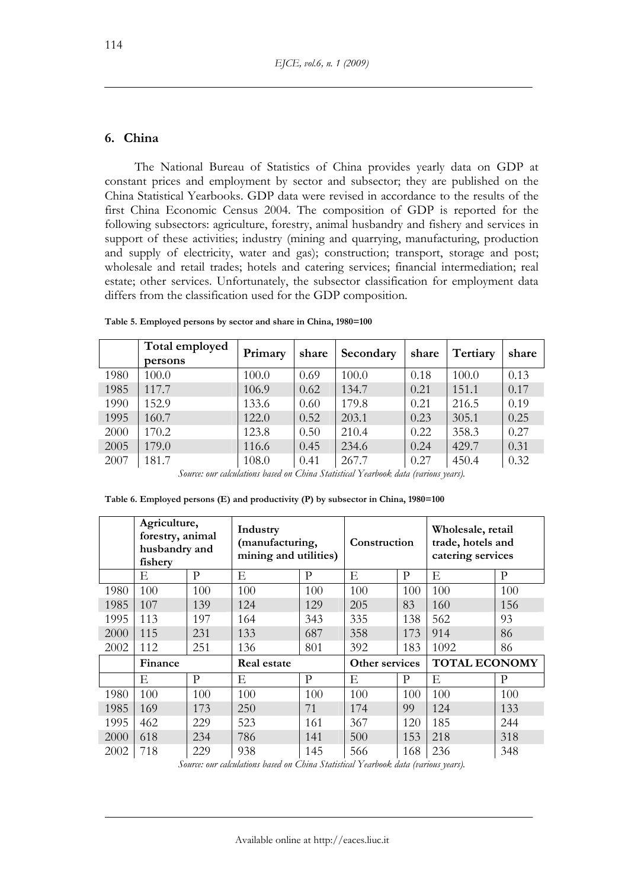## **6. China**

The National Bureau of Statistics of China provides yearly data on GDP at constant prices and employment by sector and subsector; they are published on the China Statistical Yearbooks. GDP data were revised in accordance to the results of the first China Economic Census 2004. The composition of GDP is reported for the following subsectors: agriculture, forestry, animal husbandry and fishery and services in support of these activities; industry (mining and quarrying, manufacturing, production and supply of electricity, water and gas); construction; transport, storage and post; wholesale and retail trades; hotels and catering services; financial intermediation; real estate; other services. Unfortunately, the subsector classification for employment data differs from the classification used for the GDP composition.

|      | Total employed<br>persons | Primary | share | Secondary | share | Tertiary | share |
|------|---------------------------|---------|-------|-----------|-------|----------|-------|
| 1980 | 100.0                     | 100.0   | 0.69  | 100.0     | 0.18  | 100.0    | 0.13  |
| 1985 | 117.7                     | 106.9   | 0.62  | 134.7     | 0.21  | 151.1    | 0.17  |
| 1990 | 152.9                     | 133.6   | 0.60  | 179.8     | 0.21  | 216.5    | 0.19  |
| 1995 | 160.7                     | 122.0   | 0.52  | 203.1     | 0.23  | 305.1    | 0.25  |
| 2000 | 170.2                     | 123.8   | 0.50  | 210.4     | 0.22  | 358.3    | 0.27  |
| 2005 | 179.0                     | 116.6   | 0.45  | 234.6     | 0.24  | 429.7    | 0.31  |
| 2007 | 181.7                     | 108.0   | 0.41  | 267.7     | 0.27  | 450.4    | 0.32  |

**Table 5. Employed persons by sector and share in China, 1980=100** 

*Source: our calculations based on China Statistical Yearbook data (various years).* 

|      | Agriculture,<br>forestry, animal<br>husbandry and<br>fishery |     | Industry<br>(manufacturing,<br>mining and utilities) |     | Construction   |     | Wholesale, retail<br>trade, hotels and<br>catering services |     |
|------|--------------------------------------------------------------|-----|------------------------------------------------------|-----|----------------|-----|-------------------------------------------------------------|-----|
|      | Ε                                                            | P   | Е                                                    | P   | Ε              | P   | Е                                                           | P   |
| 1980 | 100                                                          | 100 | 100                                                  | 100 | 100            | 100 | 100                                                         | 100 |
| 1985 | 107                                                          | 139 | 124                                                  | 129 | 205            | 83  | 160                                                         | 156 |
| 1995 | 113                                                          | 197 | 164                                                  | 343 | 335            | 138 | 562                                                         | 93  |
| 2000 | 115                                                          | 231 | 133                                                  | 687 | 358            | 173 | 914                                                         | 86  |
| 2002 | 112                                                          | 251 | 136                                                  | 801 | 392            | 183 | 1092                                                        | 86  |
|      | Finance                                                      |     | <b>Real estate</b>                                   |     | Other services |     | <b>TOTAL ECONOMY</b>                                        |     |
|      | E                                                            | P   | Е                                                    | P   | Ε              | P   | Е                                                           | P   |
| 1980 | 100                                                          | 100 | 100                                                  | 100 | 100            | 100 | 100                                                         | 100 |
| 1985 | 169                                                          | 173 | 250                                                  | 71  | 174            | 99  | 124                                                         | 133 |
| 1995 | 462                                                          | 229 | 523                                                  | 161 | 367            | 120 | 185                                                         | 244 |
| 2000 | 618                                                          | 234 | 786                                                  | 141 | 500            | 153 | 218                                                         | 318 |
| 2002 | 718                                                          | 229 | 938                                                  | 145 | 566            | 168 | 236                                                         | 348 |

**Table 6. Employed persons (E) and productivity (P) by subsector in China, 1980=100** 

*Source: our calculations based on China Statistical Yearbook data (various years).*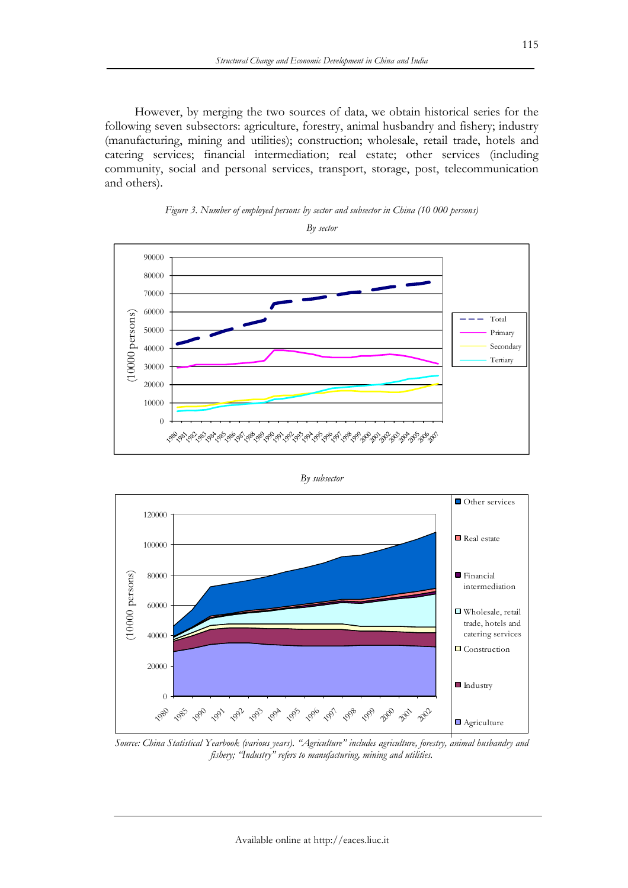However, by merging the two sources of data, we obtain historical series for the following seven subsectors: agriculture, forestry, animal husbandry and fishery; industry (manufacturing, mining and utilities); construction; wholesale, retail trade, hotels and catering services; financial intermediation; real estate; other services (including community, social and personal services, transport, storage, post, telecommunication and others).





*By sector* 

*By subsector* 



*Source: China Statistical Yearbook (various years). "Agriculture" includes agriculture, forestry, animal husbandry and fishery; "Industry" refers to manufacturing, mining and utilities.*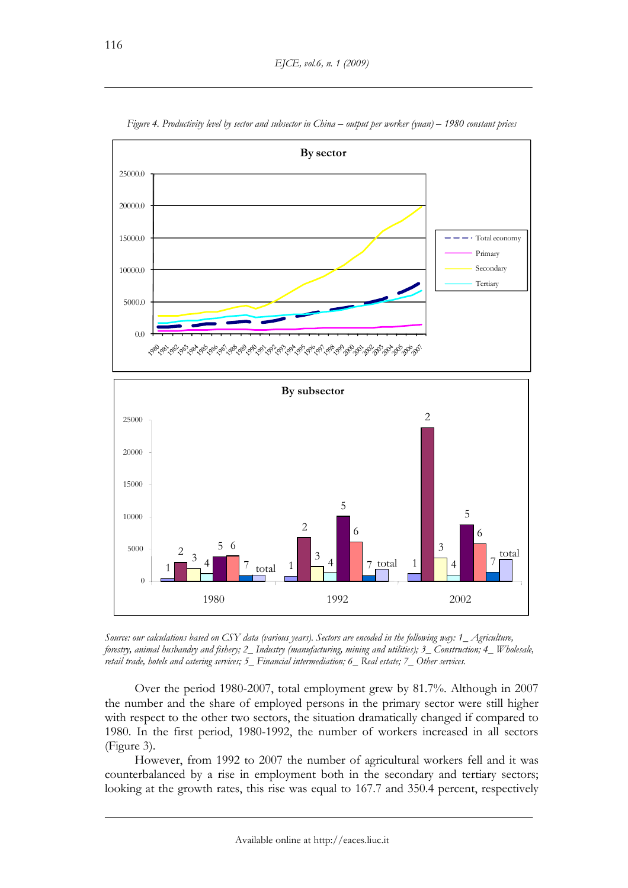

*Figure 4. Productivity level by sector and subsector in China – output per worker (yuan) – 1980 constant prices* 

*Source: our calculations based on CSY data (various years). Sectors are encoded in the following way: 1\_ Agriculture, forestry, animal husbandry and fishery; 2\_ Industry (manufacturing, mining and utilities); 3\_ Construction; 4\_ Wholesale, retail trade, hotels and catering services; 5\_ Financial intermediation; 6\_ Real estate; 7\_ Other services.* 

Over the period 1980-2007, total employment grew by 81.7%. Although in 2007 the number and the share of employed persons in the primary sector were still higher with respect to the other two sectors, the situation dramatically changed if compared to 1980. In the first period, 1980-1992, the number of workers increased in all sectors (Figure 3).

However, from 1992 to 2007 the number of agricultural workers fell and it was counterbalanced by a rise in employment both in the secondary and tertiary sectors; looking at the growth rates, this rise was equal to 167.7 and 350.4 percent, respectively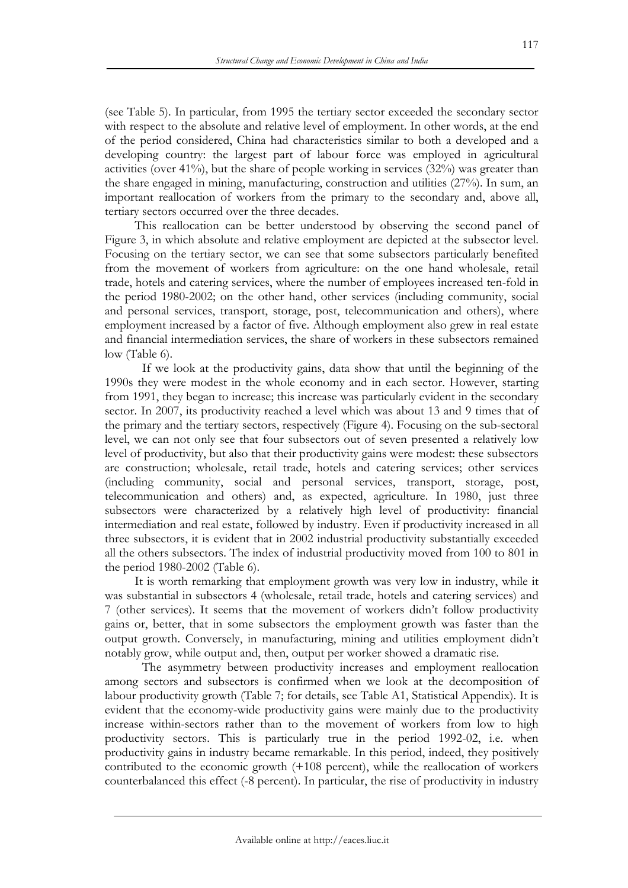(see Table 5). In particular, from 1995 the tertiary sector exceeded the secondary sector with respect to the absolute and relative level of employment. In other words, at the end of the period considered, China had characteristics similar to both a developed and a developing country: the largest part of labour force was employed in agricultural activities (over 41%), but the share of people working in services (32%) was greater than the share engaged in mining, manufacturing, construction and utilities (27%). In sum, an important reallocation of workers from the primary to the secondary and, above all, tertiary sectors occurred over the three decades.

This reallocation can be better understood by observing the second panel of Figure 3, in which absolute and relative employment are depicted at the subsector level. Focusing on the tertiary sector, we can see that some subsectors particularly benefited from the movement of workers from agriculture: on the one hand wholesale, retail trade, hotels and catering services, where the number of employees increased ten-fold in the period 1980-2002; on the other hand, other services (including community, social and personal services, transport, storage, post, telecommunication and others), where employment increased by a factor of five. Although employment also grew in real estate and financial intermediation services, the share of workers in these subsectors remained low (Table 6).

 If we look at the productivity gains, data show that until the beginning of the 1990s they were modest in the whole economy and in each sector. However, starting from 1991, they began to increase; this increase was particularly evident in the secondary sector. In 2007, its productivity reached a level which was about 13 and 9 times that of the primary and the tertiary sectors, respectively (Figure 4). Focusing on the sub-sectoral level, we can not only see that four subsectors out of seven presented a relatively low level of productivity, but also that their productivity gains were modest: these subsectors are construction; wholesale, retail trade, hotels and catering services; other services (including community, social and personal services, transport, storage, post, telecommunication and others) and, as expected, agriculture. In 1980, just three subsectors were characterized by a relatively high level of productivity: financial intermediation and real estate, followed by industry. Even if productivity increased in all three subsectors, it is evident that in 2002 industrial productivity substantially exceeded all the others subsectors. The index of industrial productivity moved from 100 to 801 in the period 1980-2002 (Table 6).

It is worth remarking that employment growth was very low in industry, while it was substantial in subsectors 4 (wholesale, retail trade, hotels and catering services) and 7 (other services). It seems that the movement of workers didn't follow productivity gains or, better, that in some subsectors the employment growth was faster than the output growth. Conversely, in manufacturing, mining and utilities employment didn't notably grow, while output and, then, output per worker showed a dramatic rise.

 The asymmetry between productivity increases and employment reallocation among sectors and subsectors is confirmed when we look at the decomposition of labour productivity growth (Table 7; for details, see Table A1, Statistical Appendix). It is evident that the economy-wide productivity gains were mainly due to the productivity increase within-sectors rather than to the movement of workers from low to high productivity sectors. This is particularly true in the period 1992-02, i.e. when productivity gains in industry became remarkable. In this period, indeed, they positively contributed to the economic growth (+108 percent), while the reallocation of workers counterbalanced this effect (-8 percent). In particular, the rise of productivity in industry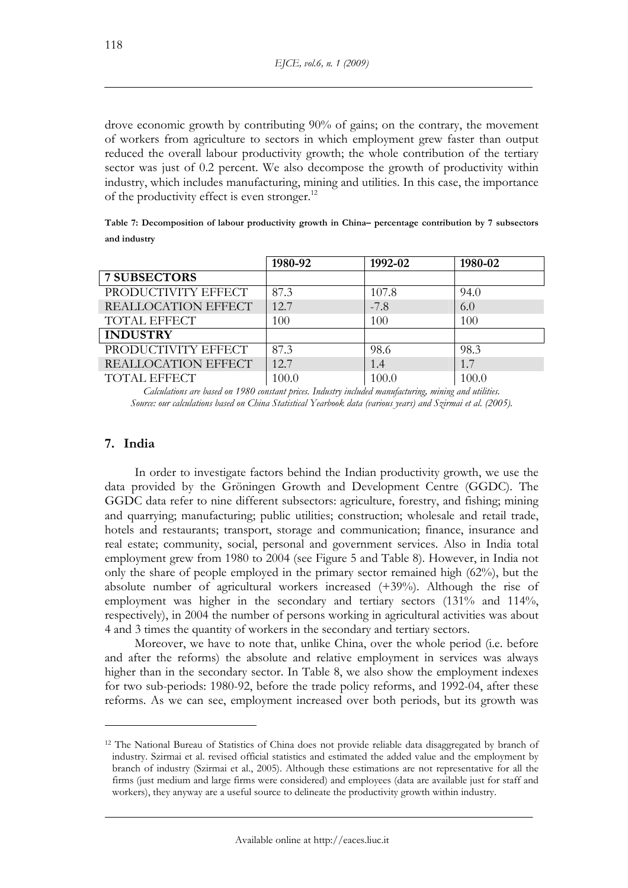drove economic growth by contributing 90% of gains; on the contrary, the movement of workers from agriculture to sectors in which employment grew faster than output reduced the overall labour productivity growth; the whole contribution of the tertiary sector was just of 0.2 percent. We also decompose the growth of productivity within industry, which includes manufacturing, mining and utilities. In this case, the importance of the productivity effect is even stronger.12

| Table 7: Decomposition of labour productivity growth in China– percentage contribution by 7 subsectors |  |  |
|--------------------------------------------------------------------------------------------------------|--|--|
| and industry                                                                                           |  |  |

|                     | 1980-92 | 1992-02 | 1980-02 |
|---------------------|---------|---------|---------|
| <b>7 SUBSECTORS</b> |         |         |         |
| PRODUCTIVITY EFFECT | 87.3    | 107.8   | 94.0    |
| REALLOCATION EFFECT | 12.7    | $-7.8$  | 6.0     |
| <b>TOTAL EFFECT</b> | 100     | 100     | 100     |
| <b>INDUSTRY</b>     |         |         |         |
| PRODUCTIVITY EFFECT | 87.3    | 98.6    | 98.3    |
| REALLOCATION EFFECT | 12.7    | 1.4     | 1.7     |
| <b>TOTAL EFFECT</b> | 100.0   | 100.0   | 100.0   |

*Calculations are based on 1980 constant prices. Industry included manufacturing, mining and utilities. Source: our calculations based on China Statistical Yearbook data (various years) and Szirmai et al. (2005).* 

## **7. India**

 $\overline{a}$ 

In order to investigate factors behind the Indian productivity growth, we use the data provided by the Gröningen Growth and Development Centre (GGDC). The GGDC data refer to nine different subsectors: agriculture, forestry, and fishing; mining and quarrying; manufacturing; public utilities; construction; wholesale and retail trade, hotels and restaurants; transport, storage and communication; finance, insurance and real estate; community, social, personal and government services. Also in India total employment grew from 1980 to 2004 (see Figure 5 and Table 8). However, in India not only the share of people employed in the primary sector remained high (62%), but the absolute number of agricultural workers increased (+39%). Although the rise of employment was higher in the secondary and tertiary sectors (131% and 114%, respectively), in 2004 the number of persons working in agricultural activities was about 4 and 3 times the quantity of workers in the secondary and tertiary sectors.

Moreover, we have to note that, unlike China, over the whole period (i.e. before and after the reforms) the absolute and relative employment in services was always higher than in the secondary sector. In Table 8, we also show the employment indexes for two sub-periods: 1980-92, before the trade policy reforms, and 1992-04, after these reforms. As we can see, employment increased over both periods, but its growth was

<sup>12</sup> The National Bureau of Statistics of China does not provide reliable data disaggregated by branch of industry. Szirmai et al. revised official statistics and estimated the added value and the employment by branch of industry (Szirmai et al., 2005). Although these estimations are not representative for all the firms (just medium and large firms were considered) and employees (data are available just for staff and workers), they anyway are a useful source to delineate the productivity growth within industry.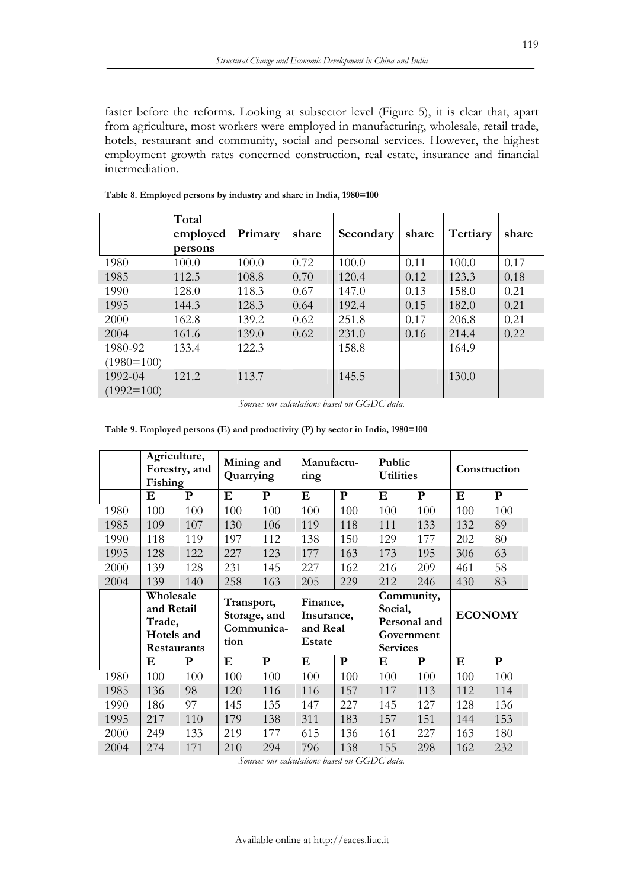faster before the reforms. Looking at subsector level (Figure 5), it is clear that, apart from agriculture, most workers were employed in manufacturing, wholesale, retail trade, hotels, restaurant and community, social and personal services. However, the highest employment growth rates concerned construction, real estate, insurance and financial intermediation.

|              | Total    |         |       |           |       |          |       |
|--------------|----------|---------|-------|-----------|-------|----------|-------|
|              | employed | Primary | share | Secondary | share | Tertiary | share |
|              | persons  |         |       |           |       |          |       |
| 1980         | 100.0    | 100.0   | 0.72  | 100.0     | 0.11  | 100.0    | 0.17  |
| 1985         | 112.5    | 108.8   | 0.70  | 120.4     | 0.12  | 123.3    | 0.18  |
| 1990         | 128.0    | 118.3   | 0.67  | 147.0     | 0.13  | 158.0    | 0.21  |
| 1995         | 144.3    | 128.3   | 0.64  | 192.4     | 0.15  | 182.0    | 0.21  |
| 2000         | 162.8    | 139.2   | 0.62  | 251.8     | 0.17  | 206.8    | 0.21  |
| 2004         | 161.6    | 139.0   | 0.62  | 231.0     | 0.16  | 214.4    | 0.22  |
| 1980-92      | 133.4    | 122.3   |       | 158.8     |       | 164.9    |       |
| $(1980=100)$ |          |         |       |           |       |          |       |
| 1992-04      | 121.2    | 113.7   |       | 145.5     |       | 130.0    |       |
| $(1992=100)$ |          |         |       |           |       |          |       |

**Table 8. Employed persons by industry and share in India, 1980=100** 

**Table 9. Employed persons (E) and productivity (P) by sector in India, 1980=100** 

|      | Agriculture,<br>Fishing             | Forestry, and | Mining and<br>Quarrying |              | Manufactu-<br>ring               |              | Public<br><b>Utilities</b>                    |           |                | Construction |
|------|-------------------------------------|---------------|-------------------------|--------------|----------------------------------|--------------|-----------------------------------------------|-----------|----------------|--------------|
|      | E                                   | ${\bf P}$     | $\bf E$                 | $\mathbf{P}$ | E                                | $\mathbf{P}$ | ${\bf E}$                                     | ${\bf P}$ | ${\bf E}$      | ${\bf P}$    |
| 1980 | 100                                 | 100           | 100                     | 100          | 100                              | 100          | 100                                           | 100       | 100            | 100          |
| 1985 | 109                                 | 107           | 130                     | 106          | 119                              | 118          | 111                                           | 133       | 132            | 89           |
| 1990 | 118                                 | 119           | 197                     | 112          | 138                              | 150          | 129                                           | 177       | 202            | 80           |
| 1995 | 128                                 | 122           | 227                     | 123          | 177                              | 163          | 173                                           | 195       | 306            | 63           |
| 2000 | 139                                 | 128           | 231                     | 145          | 227                              | 162          | 216                                           | 209       | 461            | 58           |
| 2004 | 139                                 | 140           | 258                     | 163          | 205                              | 229          | 212                                           | 246       | 430            | 83           |
|      | Wholesale<br>and Retail             |               | Transport,              |              | Finance,                         |              | Community,<br>Social,                         |           |                |              |
|      | Trade,<br>Hotels and<br>Restaurants |               | Storage, and<br>tion    | Communica-   | Insurance,<br>and Real<br>Estate |              | Personal and<br>Government<br><b>Services</b> |           | <b>ECONOMY</b> |              |
|      | E                                   | $\mathbf{P}$  | E                       | $\mathbf{P}$ | $\bf E$                          | ${\bf P}$    | E                                             | ${\bf P}$ | $\bf{E}$       | ${\bf P}$    |
| 1980 | 100                                 | 100           | 100                     | 100          | 100                              | 100          | 100                                           | 100       | 100            | 100          |
| 1985 | 136                                 | 98            | 120                     | 116          | 116                              | 157          | 117                                           | 113       | 112            | 114          |
| 1990 | 186                                 | 97            | 145                     | 135          | 147                              | 227          | 145                                           | 127       | 128            | 136          |
| 1995 | 217                                 | 110           | 179                     | 138          | 311                              | 183          | 157                                           | 151       | 144            | 153          |
| 2000 | 249                                 | 133           | 219                     | 177          | 615                              | 136          | 161                                           | 227       | 163            | 180          |

*Source: our calculations based on GGDC data.* 

*Source: our calculations based on GGDC data.*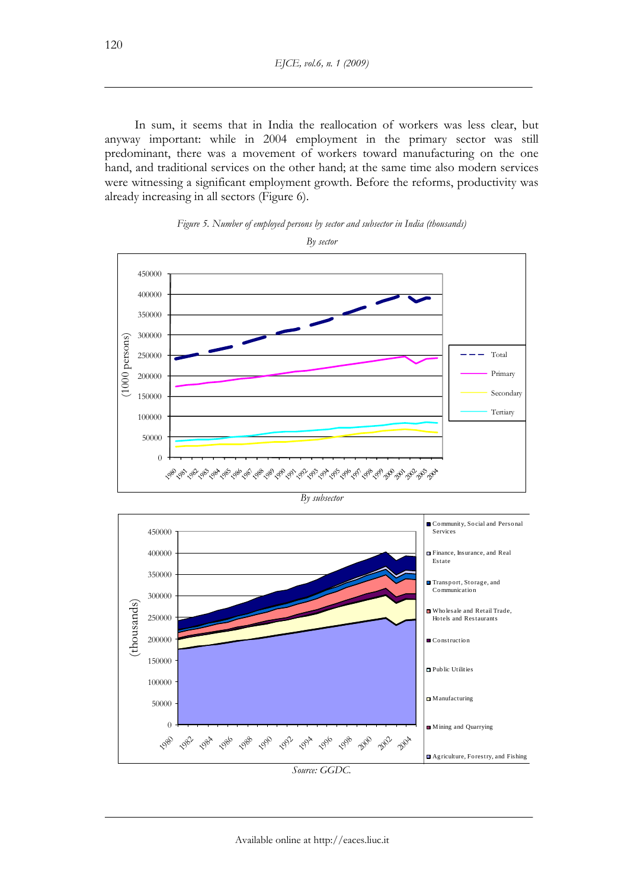In sum, it seems that in India the reallocation of workers was less clear, but anyway important: while in 2004 employment in the primary sector was still predominant, there was a movement of workers toward manufacturing on the one hand, and traditional services on the other hand; at the same time also modern services were witnessing a significant employment growth. Before the reforms, productivity was already increasing in all sectors (Figure 6).







Available online at http://eaces.liuc.it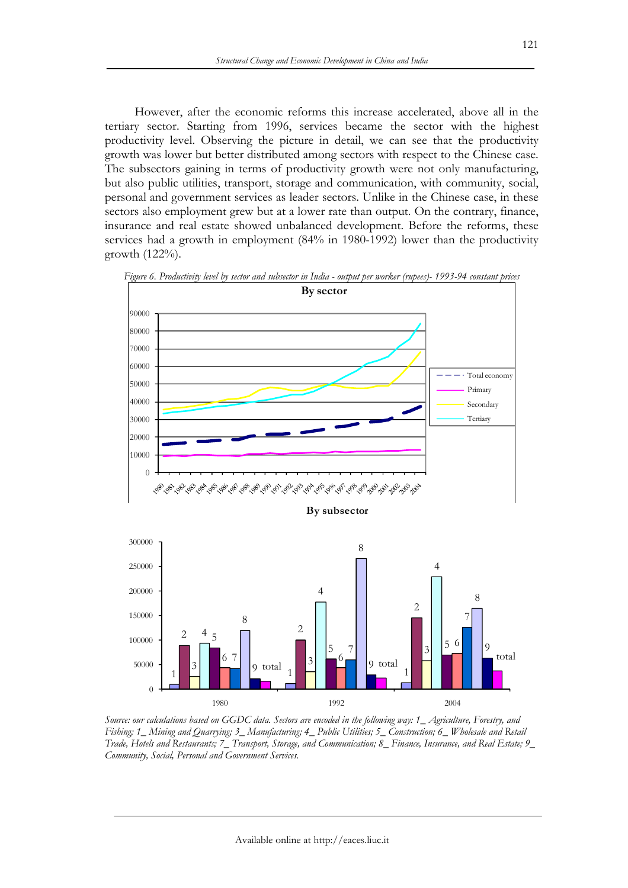However, after the economic reforms this increase accelerated, above all in the tertiary sector. Starting from 1996, services became the sector with the highest productivity level. Observing the picture in detail, we can see that the productivity growth was lower but better distributed among sectors with respect to the Chinese case. The subsectors gaining in terms of productivity growth were not only manufacturing, but also public utilities, transport, storage and communication, with community, social, personal and government services as leader sectors. Unlike in the Chinese case, in these sectors also employment grew but at a lower rate than output. On the contrary, finance, insurance and real estate showed unbalanced development. Before the reforms, these services had a growth in employment (84% in 1980-1992) lower than the productivity growth (122%).



*Figure 6. Productivity level by sector and subsector in India - output per worker (rupees)- 1993-94 constant prices* 

1 1 1 1 1 2 <sup>9 total</sup> 1 <del>1</del> 1 1 4 4 4 1 2 4 5  $\Box$  2  $3 \begin{array}{|c|c|c|c|c|} \hline 6 & 9 \end{array}$  otal  $1 \begin{array}{|c|c|c|c|c|} \hline 3 & 3 \end{array}$ 3 4 5  $5 \t7$   $3$   $5$ 6 6 6 7 7 9 total  $\frac{3}{1}$   $\frac{3}{1}$   $\frac{3}{1}$   $\frac{9}{1}$   $\frac{9}{1}$ 9  $_{\rm total}$   $3\overline{3}$   $9 \overline{9}$  total total  $\theta$ 50000 100000 1980 1992 2004

*Source: our calculations based on GGDC data. Sectors are encoded in the following way: 1\_ Agriculture, Forestry, and Fishing; 1\_ Mining and Quarrying; 3\_ Manufacturing; 4\_ Public Utilities; 5\_ Construction; 6\_ Wholesale and Retail Trade, Hotels and Restaurants; 7\_ Transport, Storage, and Communication; 8\_ Finance, Insurance, and Real Estate; 9\_ Community, Social, Personal and Government Services.*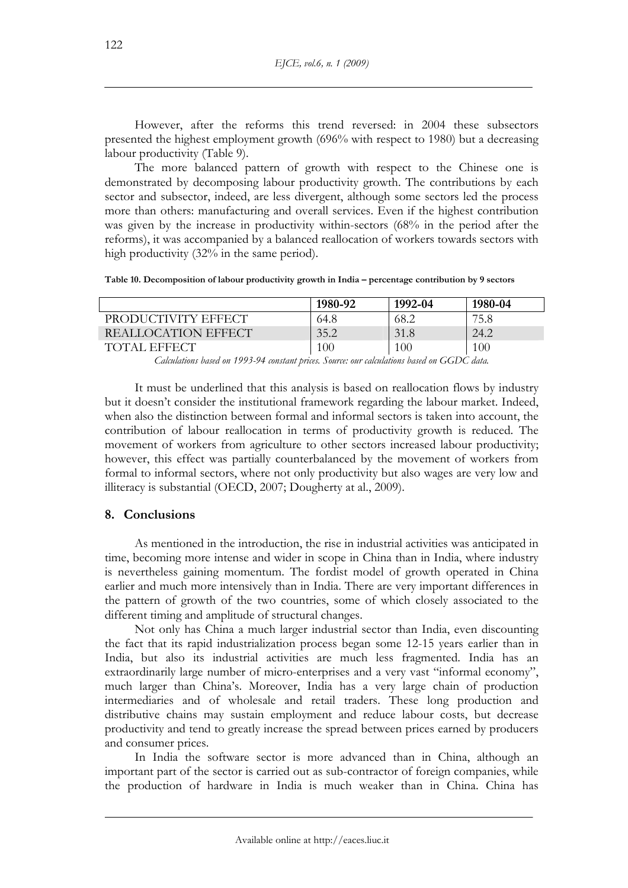However, after the reforms this trend reversed: in 2004 these subsectors presented the highest employment growth (696% with respect to 1980) but a decreasing labour productivity (Table 9).

The more balanced pattern of growth with respect to the Chinese one is demonstrated by decomposing labour productivity growth. The contributions by each sector and subsector, indeed, are less divergent, although some sectors led the process more than others: manufacturing and overall services. Even if the highest contribution was given by the increase in productivity within-sectors (68% in the period after the reforms), it was accompanied by a balanced reallocation of workers towards sectors with high productivity (32% in the same period).

**Table 10. Decomposition of labour productivity growth in India – percentage contribution by 9 sectors** 

|                     | 1980-92 | 1992-04 | 1980-04 |
|---------------------|---------|---------|---------|
| PRODUCTIVITY EFFECT | 64.8    | 68.2    | 75.8    |
| REALLOCATION EFFECT | 35.2    | 31.8    | 24.2    |
| TOTAL EFFECT        | 100     | 100     | 100     |

*Calculations based on 1993-94 constant prices. Source: our calculations based on GGDC data.* 

It must be underlined that this analysis is based on reallocation flows by industry but it doesn't consider the institutional framework regarding the labour market. Indeed, when also the distinction between formal and informal sectors is taken into account, the contribution of labour reallocation in terms of productivity growth is reduced. The movement of workers from agriculture to other sectors increased labour productivity; however, this effect was partially counterbalanced by the movement of workers from formal to informal sectors, where not only productivity but also wages are very low and illiteracy is substantial (OECD, 2007; Dougherty at al., 2009).

## **8. Conclusions**

As mentioned in the introduction, the rise in industrial activities was anticipated in time, becoming more intense and wider in scope in China than in India, where industry is nevertheless gaining momentum. The fordist model of growth operated in China earlier and much more intensively than in India. There are very important differences in the pattern of growth of the two countries, some of which closely associated to the different timing and amplitude of structural changes.

Not only has China a much larger industrial sector than India, even discounting the fact that its rapid industrialization process began some 12-15 years earlier than in India, but also its industrial activities are much less fragmented. India has an extraordinarily large number of micro-enterprises and a very vast "informal economy", much larger than China's. Moreover, India has a very large chain of production intermediaries and of wholesale and retail traders. These long production and distributive chains may sustain employment and reduce labour costs, but decrease productivity and tend to greatly increase the spread between prices earned by producers and consumer prices.

In India the software sector is more advanced than in China, although an important part of the sector is carried out as sub-contractor of foreign companies, while the production of hardware in India is much weaker than in China. China has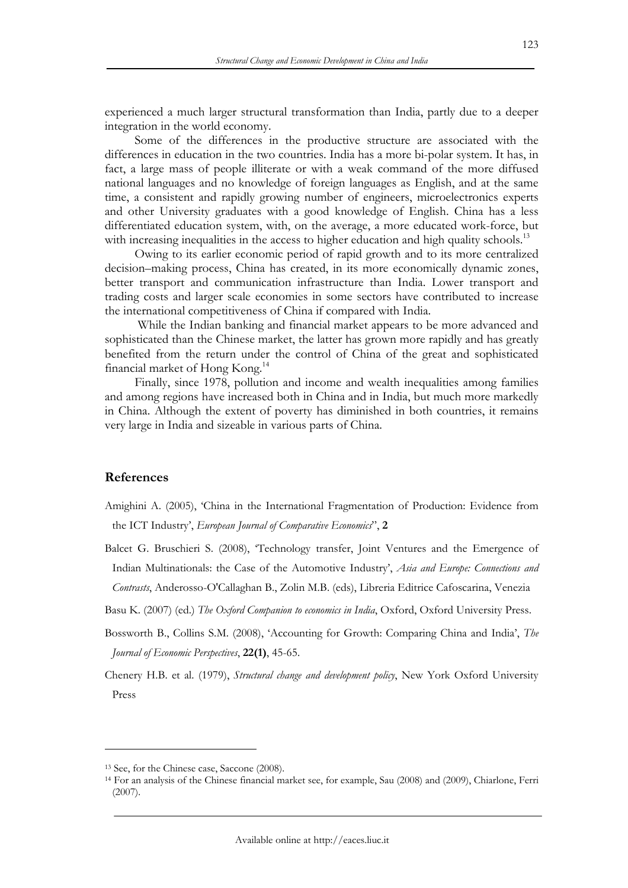experienced a much larger structural transformation than India, partly due to a deeper integration in the world economy.

Some of the differences in the productive structure are associated with the differences in education in the two countries. India has a more bi-polar system. It has, in fact, a large mass of people illiterate or with a weak command of the more diffused national languages and no knowledge of foreign languages as English, and at the same time, a consistent and rapidly growing number of engineers, microelectronics experts and other University graduates with a good knowledge of English. China has a less differentiated education system, with, on the average, a more educated work-force, but with increasing inequalities in the access to higher education and high quality schools.<sup>13</sup>

Owing to its earlier economic period of rapid growth and to its more centralized decision–making process, China has created, in its more economically dynamic zones, better transport and communication infrastructure than India. Lower transport and trading costs and larger scale economies in some sectors have contributed to increase the international competitiveness of China if compared with India.

 While the Indian banking and financial market appears to be more advanced and sophisticated than the Chinese market, the latter has grown more rapidly and has greatly benefited from the return under the control of China of the great and sophisticated financial market of Hong Kong.14

Finally, since 1978, pollution and income and wealth inequalities among families and among regions have increased both in China and in India, but much more markedly in China. Although the extent of poverty has diminished in both countries, it remains very large in India and sizeable in various parts of China.

### **References**

- Amighini A. (2005), 'China in the International Fragmentation of Production: Evidence from the ICT Industry', *European Journal of Comparative Economics*", **2**
- Balcet G. Bruschieri S. (2008), 'Technology transfer, Joint Ventures and the Emergence of Indian Multinationals: the Case of the Automotive Industry', *Asia and Europe: Connections and Contrasts*, Anderosso-O'Callaghan B., Zolin M.B. (eds), Libreria Editrice Cafoscarina, Venezia
- Basu K. (2007) (ed.) *The Oxford Companion to economics in India*, Oxford, Oxford University Press.
- Bossworth B., Collins S.M. (2008), 'Accounting for Growth: Comparing China and India', *The Journal of Economic Perspectives*, **22(1)**, 45-65.
- Chenery H.B. et al. (1979), *Structural change and development policy*, New York Oxford University Press

<sup>&</sup>lt;sup>13</sup> See, for the Chinese case, Saccone (2008).<br><sup>14</sup> For an analysis of the Chinese financial market see, for example, Sau (2008) and (2009), Chiarlone, Ferri (2007).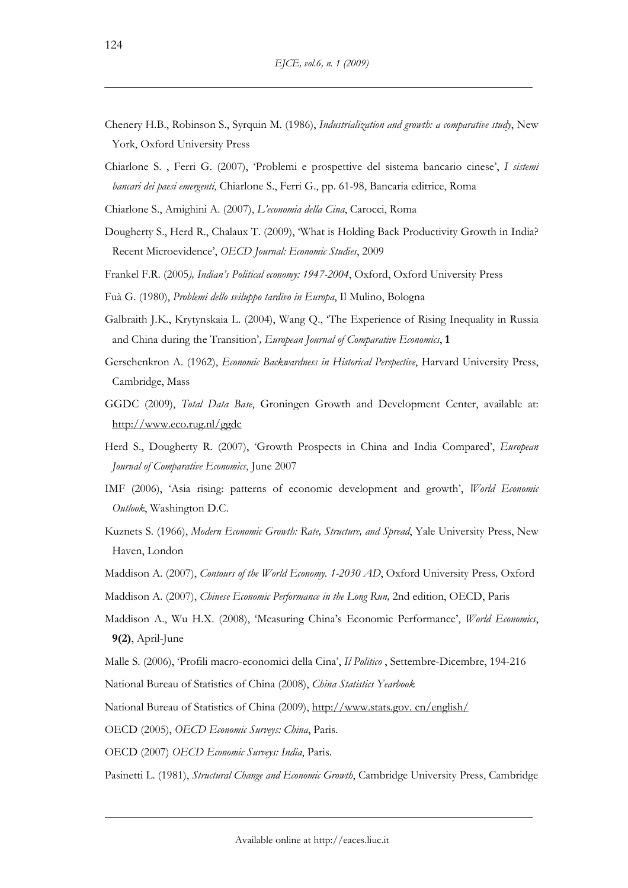- Chenery H.B., Robinson S., Syrquin M. (1986), *Industrialization and growth: a comparative study*, New York, Oxford University Press
- Chiarlone S. , Ferri G. (2007), 'Problemi e prospettive del sistema bancario cinese', *I sistemi bancari dei paesi emergenti*, Chiarlone S., Ferri G., pp. 61-98, Bancaria editrice, Roma

Chiarlone S., Amighini A. (2007), *L'economia della Cina*, Carocci, Roma

- Dougherty S., Herd R., Chalaux T. (2009), 'What is Holding Back Productivity Growth in India? Recent Microevidence', *OECD Journal: Economic Studies*, 2009
- Frankel F.R. (2005*), Indian's Political economy: 1947-2004*, Oxford, Oxford University Press
- Fuà G. (1980), *Problemi dello sviluppo tardivo in Europa*, Il Mulino, Bologna
- Galbraith J.K., Krytynskaia L. (2004), Wang Q., 'The Experience of Rising Inequality in Russia and China during the Transition'*, European Journal of Comparative Economics*, **1**
- Gerschenkron A. (1962), *Economic Backwardness in Historical Perspective*, Harvard University Press, Cambridge, Mass
- GGDC (2009), *Total Data Base*, Groningen Growth and Development Center, available at: http://www.eco.rug.nl/ggdc
- Herd S., Dougherty R. (2007), 'Growth Prospects in China and India Compared', *European Journal of Comparative Economics*, June 2007
- IMF (2006), 'Asia rising: patterns of economic development and growth', *World Economic Outlook*, Washington D.C.
- Kuznets S. (1966), *Modern Economic Growth: Rate, Structure, and Spread*, Yale University Press, New Haven, London
- Maddison A. (2007), *Contours of the World Economy. 1-2030 AD*, Oxford University Press*,* Oxford
- Maddison A. (2007), *Chinese Economic Performance in the Long Run,* 2nd edition, OECD, Paris
- Maddison A., Wu H.X. (2008), 'Measuring China's Economic Performance', *World Economics*, **9(2)**, April-June
- Malle S. (2006), 'Profili macro-economici della Cina', *Il Politico* , Settembre-Dicembre, 194-216
- National Bureau of Statistics of China (2008), *China Statistics Yearbook*
- National Bureau of Statistics of China (2009), http://www.stats.gov. cn/english/
- OECD (2005), *OECD Economic Surveys: China*, Paris.
- OECD (2007) *OECD Economic Surveys: India*, Paris.

Pasinetti L. (1981), *Structural Change and Economic Growth*, Cambridge University Press, Cambridge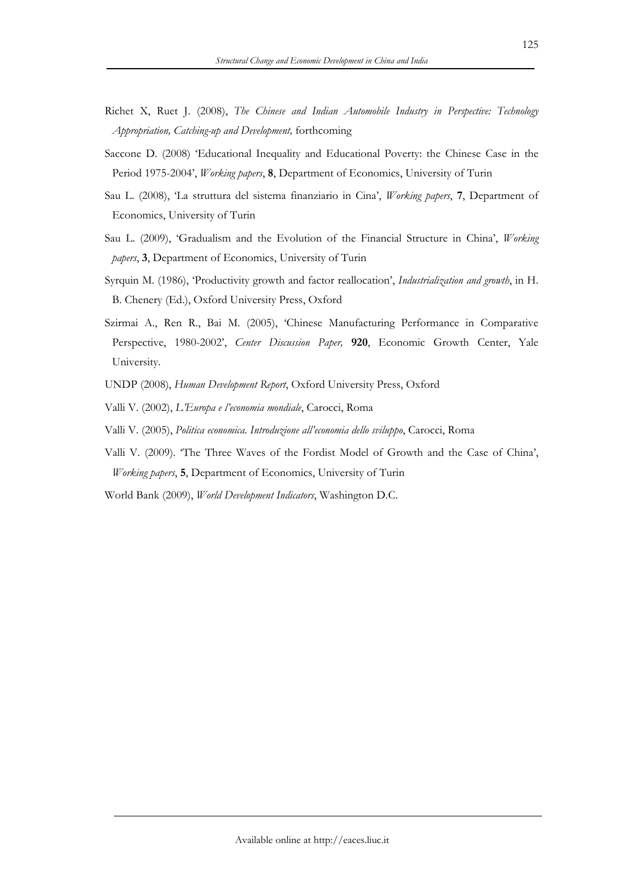- Richet X, Ruet J. (2008), *The Chinese and Indian Automobile Industry in Perspective: Technology Appropriation, Catching-up and Development,* forthcoming
- Saccone D. (2008) 'Educational Inequality and Educational Poverty: the Chinese Case in the Period 1975-2004', *Working papers*, **8**, Department of Economics, University of Turin
- Sau L. (2008), 'La struttura del sistema finanziario in Cina', *Working papers*, **7**, Department of Economics, University of Turin
- Sau L. (2009), 'Gradualism and the Evolution of the Financial Structure in China', *Working papers*, **3**, Department of Economics, University of Turin
- Syrquin M. (1986), 'Productivity growth and factor reallocation', *Industrialization and growth*, in H. B. Chenery (Ed.), Oxford University Press, Oxford
- Szirmai A., Ren R., Bai M. (2005), 'Chinese Manufacturing Performance in Comparative Perspective, 1980-2002', *Center Discussion Paper,* **920**, Economic Growth Center, Yale University.
- UNDP (2008), *Human Development Report*, Oxford University Press, Oxford
- Valli V. (2002), *L'Europa e l'economia mondiale*, Carocci, Roma
- Valli V. (2005), *Politica economica. Introduzione all'economia dello sviluppo*, Carocci, Roma
- Valli V. (2009). 'The Three Waves of the Fordist Model of Growth and the Case of China', *Working papers*, **5**, Department of Economics, University of Turin
- World Bank (2009), *World Development Indicators*, Washington D.C.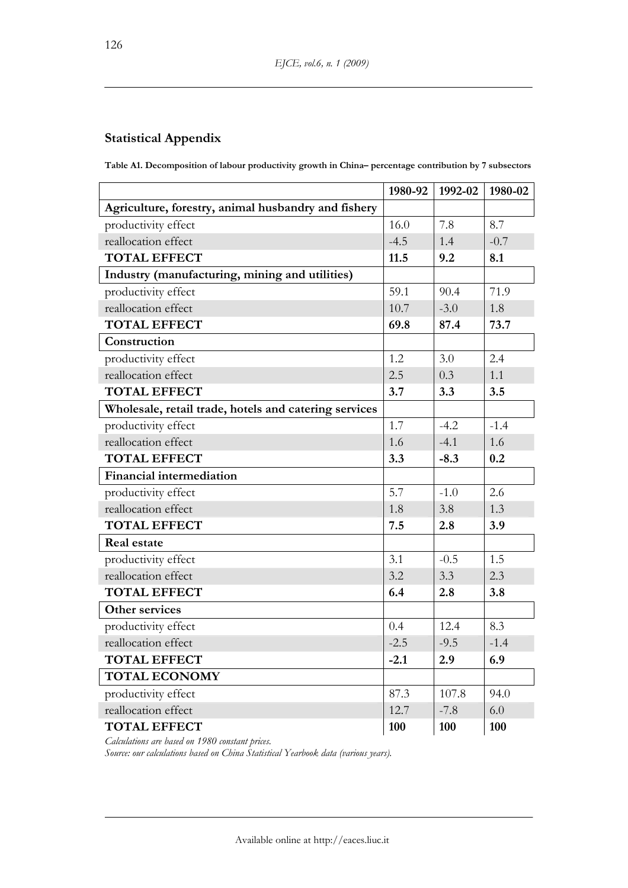## **Statistical Appendix**

**Table A1. Decomposition of labour productivity growth in China– percentage contribution by 7 subsectors** 

|                                                       | 1980-92 | 1992-02 | 1980-02 |
|-------------------------------------------------------|---------|---------|---------|
| Agriculture, forestry, animal husbandry and fishery   |         |         |         |
| productivity effect                                   | 16.0    | 7.8     | 8.7     |
| reallocation effect                                   | $-4.5$  | 1.4     | $-0.7$  |
| <b>TOTAL EFFECT</b>                                   | 11.5    | 9.2     | 8.1     |
| Industry (manufacturing, mining and utilities)        |         |         |         |
| productivity effect                                   | 59.1    | 90.4    | 71.9    |
| reallocation effect                                   | 10.7    | $-3.0$  | 1.8     |
| <b>TOTAL EFFECT</b>                                   | 69.8    | 87.4    | 73.7    |
| Construction                                          |         |         |         |
| productivity effect                                   | 1.2     | 3.0     | 2.4     |
| reallocation effect                                   | 2.5     | 0.3     | 1.1     |
| <b>TOTAL EFFECT</b>                                   | 3.7     | 3.3     | 3.5     |
| Wholesale, retail trade, hotels and catering services |         |         |         |
| productivity effect                                   | 1.7     | $-4.2$  | $-1.4$  |
| reallocation effect                                   | 1.6     | $-4.1$  | 1.6     |
| <b>TOTAL EFFECT</b>                                   | 3.3     | $-8.3$  | 0.2     |
| <b>Financial intermediation</b>                       |         |         |         |
| productivity effect                                   | 5.7     | $-1.0$  | 2.6     |
| reallocation effect                                   | 1.8     | 3.8     | 1.3     |
| <b>TOTAL EFFECT</b>                                   | 7.5     | 2.8     | 3.9     |
| <b>Real estate</b>                                    |         |         |         |
| productivity effect                                   | 3.1     | $-0.5$  | 1.5     |
| reallocation effect                                   | 3.2     | 3.3     | 2.3     |
| <b>TOTAL EFFECT</b>                                   | 6.4     | 2.8     | 3.8     |
| Other services                                        |         |         |         |
| productivity effect                                   | 0.4     | 12.4    | 8.3     |
| reallocation effect                                   | $-2.5$  | $-9.5$  | $-1.4$  |
| <b>TOTAL EFFECT</b>                                   | $-2.1$  | 2.9     | 6.9     |
| <b>TOTAL ECONOMY</b>                                  |         |         |         |
| productivity effect                                   | 87.3    | 107.8   | 94.0    |
| reallocation effect                                   | 12.7    | $-7.8$  | 6.0     |
| <b>TOTAL EFFECT</b>                                   | 100     | 100     | 100     |

*Calculations are based on 1980 constant prices.* 

*Source: our calculations based on China Statistical Yearbook data (various years).*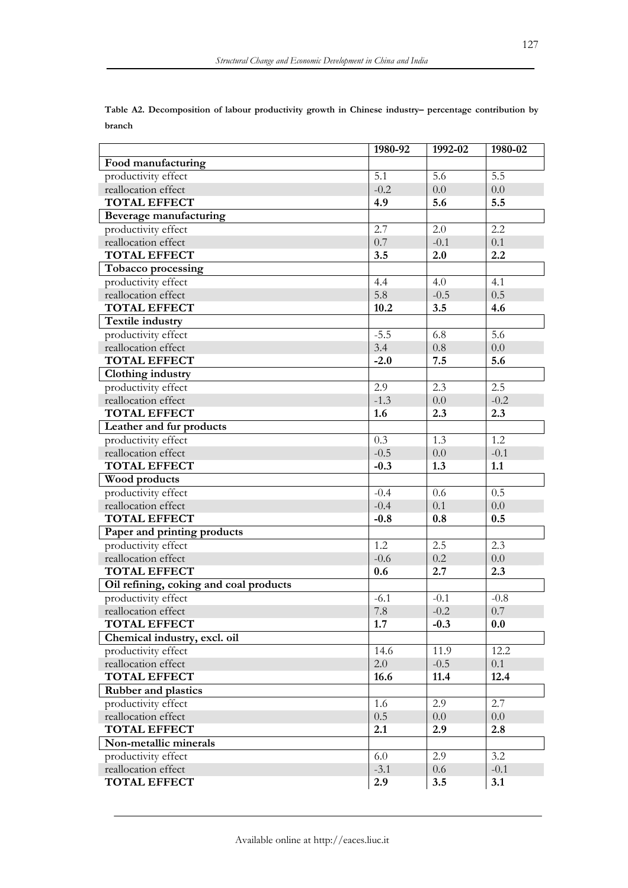|                                        | 1980-92 | 1992-02 | 1980-02 |
|----------------------------------------|---------|---------|---------|
| Food manufacturing                     |         |         |         |
| productivity effect                    | 5.1     | 5.6     | 5.5     |
| reallocation effect                    | $-0.2$  | 0.0     | 0.0     |
| <b>TOTAL EFFECT</b>                    | 4.9     | 5.6     | 5.5     |
| Beverage manufacturing                 |         |         |         |
| productivity effect                    | 2.7     | 2.0     | 2.2     |
| reallocation effect                    | 0.7     | $-0.1$  | 0.1     |
| <b>TOTAL EFFECT</b>                    | 3.5     | 2.0     | 2.2     |
| Tobacco processing                     |         |         |         |
| productivity effect                    | 4.4     | 4.0     | 4.1     |
| reallocation effect                    | 5.8     | $-0.5$  | 0.5     |
| <b>TOTAL EFFECT</b>                    | 10.2    | 3.5     | 4.6     |
| Textile industry                       |         |         |         |
| productivity effect                    | $-5.5$  | 6.8     | 5.6     |
| reallocation effect                    | 3.4     | 0.8     | 0.0     |
| <b>TOTAL EFFECT</b>                    | $-2.0$  | 7.5     | 5.6     |
| Clothing industry                      |         |         |         |
| productivity effect                    | 2.9     | 2.3     | 2.5     |
| reallocation effect                    | $-1.3$  | 0.0     | $-0.2$  |
| <b>TOTAL EFFECT</b>                    | 1.6     | 2.3     | 2.3     |
| Leather and fur products               |         |         |         |
| productivity effect                    | 0.3     | 1.3     | 1.2     |
| reallocation effect                    | $-0.5$  | 0.0     | $-0.1$  |
| <b>TOTAL EFFECT</b>                    | $-0.3$  | 1.3     | 1.1     |
| Wood products                          |         |         |         |
| productivity effect                    | $-0.4$  | 0.6     | 0.5     |
| reallocation effect                    | $-0.4$  | 0.1     | 0.0     |
| <b>TOTAL EFFECT</b>                    | $-0.8$  | 0.8     | 0.5     |
| Paper and printing products            |         |         |         |
| productivity effect                    | 1.2     | 2.5     | 2.3     |
| reallocation effect                    | $-0.6$  | 0.2     | 0.0     |
| <b>TOTAL EFFECT</b>                    | 0.6     | 2.7     | 2.3     |
| Oil refining, coking and coal products |         |         |         |
| productivity effect                    | $-6.1$  | $-0.1$  | $-0.8$  |
| reallocation effect                    | 7.8     | $-0.2$  | 0.7     |
| <b>TOTAL EFFECT</b>                    | 1.7     | $-0.3$  | 0.0     |
| Chemical industry, excl. oil           |         |         |         |
| productivity effect                    | 14.6    | 11.9    | 12.2    |
| reallocation effect                    | 2.0     | $-0.5$  | 0.1     |
| <b>TOTAL EFFECT</b>                    | 16.6    | 11.4    | 12.4    |
| <b>Rubber and plastics</b>             |         |         |         |
| productivity effect                    | 1.6     | 2.9     | 2.7     |
| reallocation effect                    | 0.5     | 0.0     | $0.0\,$ |
| <b>TOTAL EFFECT</b>                    | 2.1     | 2.9     | 2.8     |
| Non-metallic minerals                  |         |         |         |
| productivity effect                    | 6.0     | 2.9     | 3.2     |
| reallocation effect                    | $-3.1$  | 0.6     | $-0.1$  |
| <b>TOTAL EFFECT</b>                    | 2.9     | 3.5     | 3.1     |

**Table A2. Decomposition of labour productivity growth in Chinese industry– percentage contribution by branch**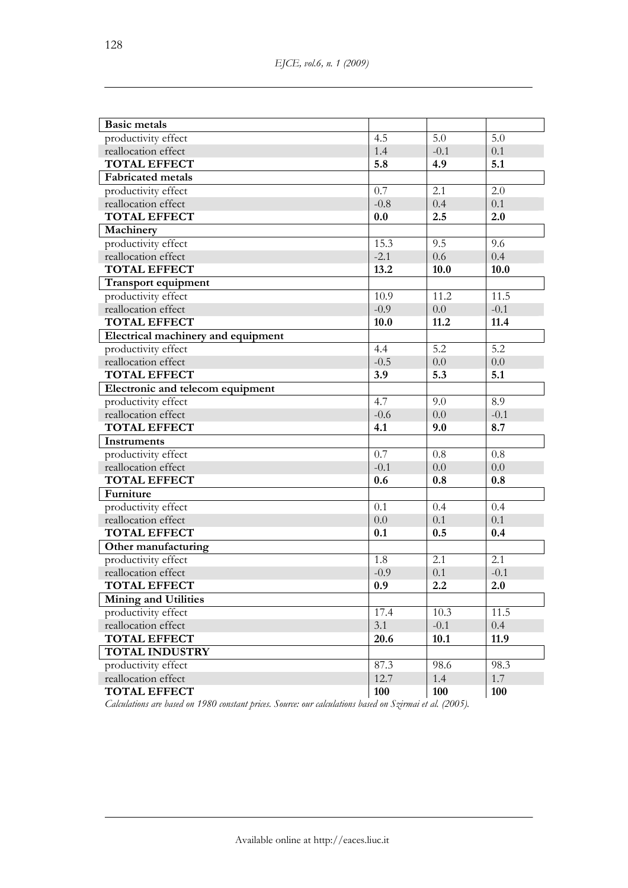| <b>Basic metals</b>                |        |        |        |
|------------------------------------|--------|--------|--------|
| productivity effect                | 4.5    | 5.0    | 5.0    |
| reallocation effect                | 1.4    | $-0.1$ | 0.1    |
| <b>TOTAL EFFECT</b>                | 5.8    | 4.9    | 5.1    |
| <b>Fabricated</b> metals           |        |        |        |
| productivity effect                | 0.7    | 2.1    | 2.0    |
| reallocation effect                | $-0.8$ | 0.4    | 0.1    |
| <b>TOTAL EFFECT</b>                | 0.0    | 2.5    | 2.0    |
| Machinery                          |        |        |        |
| productivity effect                | 15.3   | 9.5    | 9.6    |
| reallocation effect                | $-2.1$ | 0.6    | 0.4    |
| <b>TOTAL EFFECT</b>                | 13.2   | 10.0   | 10.0   |
| Transport equipment                |        |        |        |
| productivity effect                | 10.9   | 11.2   | 11.5   |
| reallocation effect                | $-0.9$ | 0.0    | $-0.1$ |
| <b>TOTAL EFFECT</b>                | 10.0   | 11.2   | 11.4   |
| Electrical machinery and equipment |        |        |        |
| productivity effect                | 4.4    | 5.2    | 5.2    |
| reallocation effect                | $-0.5$ | 0.0    | 0.0    |
| <b>TOTAL EFFECT</b>                | 3.9    | 5.3    | 5.1    |
| Electronic and telecom equipment   |        |        |        |
| productivity effect                | 4.7    | 9.0    | 8.9    |
| reallocation effect                | $-0.6$ | 0.0    | $-0.1$ |
| <b>TOTAL EFFECT</b>                | 4.1    | 9.0    | 8.7    |
| Instruments                        |        |        |        |
| productivity effect                | 0.7    | 0.8    | 0.8    |
| reallocation effect                | $-0.1$ | 0.0    | 0.0    |
| <b>TOTAL EFFECT</b>                | 0.6    | 0.8    | 0.8    |
| Furniture                          |        |        |        |
| productivity effect                | 0.1    | 0.4    | 0.4    |
| reallocation effect                | 0.0    | 0.1    | 0.1    |
| <b>TOTAL EFFECT</b>                | 0.1    | 0.5    | 0.4    |
| Other manufacturing                |        |        |        |
| productivity effect                | 1.8    | 2.1    | 2.1    |
| reallocation effect                | $-0.9$ | 0.1    | $-0.1$ |
| <b>TOTAL EFFECT</b>                | 0.9    | 2.2    | 2.0    |
| <b>Mining and Utilities</b>        |        |        |        |
| productivity effect                | 17.4   | 10.3   | 11.5   |
| reallocation effect                | 3.1    | $-0.1$ | 0.4    |
| <b>TOTAL EFFECT</b>                | 20.6   | 10.1   | 11.9   |
| <b>TOTAL INDUSTRY</b>              |        |        |        |
| productivity effect                | 87.3   | 98.6   | 98.3   |
| reallocation effect                | 12.7   | 1.4    | 1.7    |
| <b>TOTAL EFFECT</b>                | 100    | 100    | 100    |

*Calculations are based on 1980 constant prices. Source: our calculations based on Szirmai et al. (2005).*